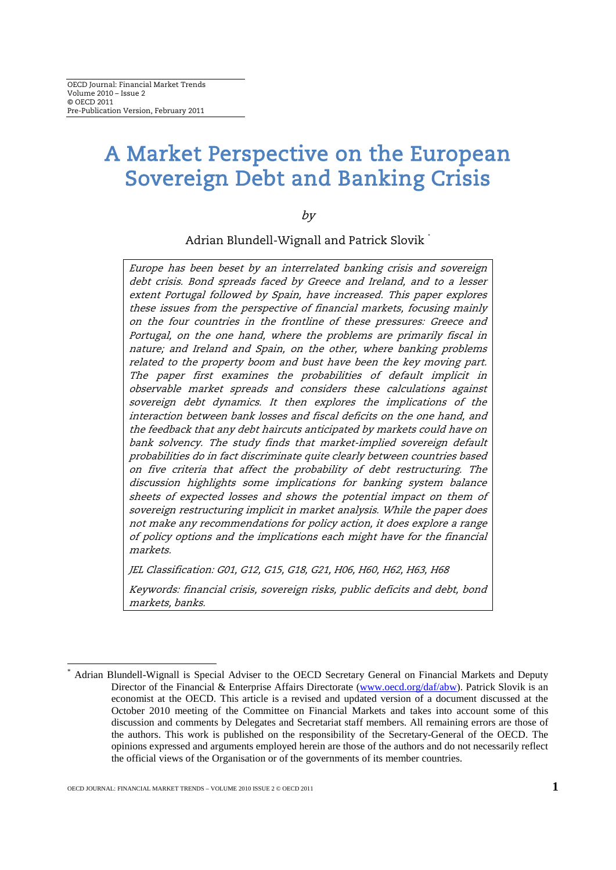# A Market Perspective on the European Sovereign Debt and Banking Crisis

by

Adrian Blundell-Wignall and Patrick Slovik [\\*](#page-0-0)

Europe has been beset by an interrelated banking crisis and sovereign debt crisis. Bond spreads faced by Greece and Ireland, and to a lesser extent Portugal followed by Spain, have increased. This paper explores these issues from the perspective of financial markets, focusing mainly on the four countries in the frontline of these pressures: Greece and Portugal, on the one hand, where the problems are primarily fiscal in nature; and Ireland and Spain, on the other, where banking problems related to the property boom and bust have been the key moving part. The paper first examines the probabilities of default implicit in observable market spreads and considers these calculations against sovereign debt dynamics. It then explores the implications of the interaction between bank losses and fiscal deficits on the one hand, and the feedback that any debt haircuts anticipated by markets could have on bank solvency. The study finds that market-implied sovereign default probabilities do in fact discriminate quite clearly between countries based on five criteria that affect the probability of debt restructuring. The discussion highlights some implications for banking system balance sheets of expected losses and shows the potential impact on them of sovereign restructuring implicit in market analysis. While the paper does not make any recommendations for policy action, it does explore a range of policy options and the implications each might have for the financial markets.

JEL Classification: G01, G12, G15, G18, G21, H06, H60, H62, H63, H68

Keywords: financial crisis, sovereign risks, public deficits and debt, bond markets, banks.

<span id="page-0-0"></span>Adrian Blundell-Wignall is Special Adviser to the OECD Secretary General on Financial Markets and Deputy Director of the Financial & Enterprise Affairs Directorate [\(www.oecd.org/daf/abw\)](http://www.oecd.org/daf/abw). Patrick Slovik is an economist at the OECD. This article is a revised and updated version of a document discussed at the October 2010 meeting of the Committee on Financial Markets and takes into account some of this discussion and comments by Delegates and Secretariat staff members. All remaining errors are those of the authors. This work is published on the responsibility of the Secretary-General of the OECD. The opinions expressed and arguments employed herein are those of the authors and do not necessarily reflect the official views of the Organisation or of the governments of its member countries.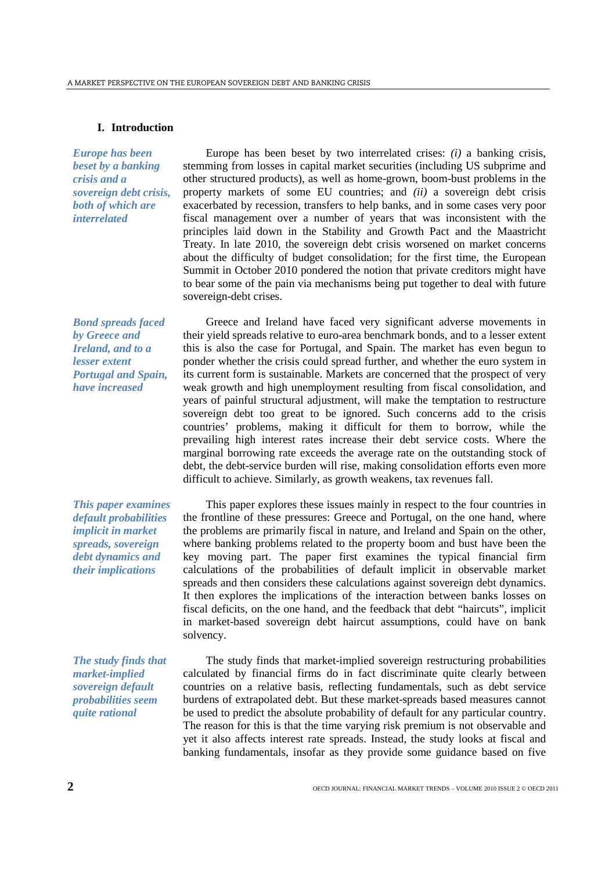# **I. Introduction**

*Europe has been beset by a banking crisis and a sovereign debt crisis, both of which are interrelated* 

Europe has been beset by two interrelated crises: *(i)* a banking crisis, stemming from losses in capital market securities (including US subprime and other structured products), as well as home-grown, boom-bust problems in the property markets of some EU countries; and *(ii)* a sovereign debt crisis exacerbated by recession, transfers to help banks, and in some cases very poor fiscal management over a number of years that was inconsistent with the principles laid down in the Stability and Growth Pact and the Maastricht Treaty. In late 2010, the sovereign debt crisis worsened on market concerns about the difficulty of budget consolidation; for the first time, the European Summit in October 2010 pondered the notion that private creditors might have to bear some of the pain via mechanisms being put together to deal with future sovereign-debt crises.

*Bond spreads faced by Greece and Ireland, and to a lesser extent Portugal and Spain, have increased*

*This paper examines default probabilities implicit in market spreads, sovereign debt dynamics and their implications*

*The study finds that market-implied sovereign default probabilities seem quite rational*

Greece and Ireland have faced very significant adverse movements in their yield spreads relative to euro-area benchmark bonds, and to a lesser extent this is also the case for Portugal, and Spain. The market has even begun to ponder whether the crisis could spread further, and whether the euro system in its current form is sustainable. Markets are concerned that the prospect of very weak growth and high unemployment resulting from fiscal consolidation, and years of painful structural adjustment, will make the temptation to restructure sovereign debt too great to be ignored. Such concerns add to the crisis countries' problems, making it difficult for them to borrow, while the prevailing high interest rates increase their debt service costs. Where the marginal borrowing rate exceeds the average rate on the outstanding stock of debt, the debt-service burden will rise, making consolidation efforts even more difficult to achieve. Similarly, as growth weakens, tax revenues fall.

This paper explores these issues mainly in respect to the four countries in the frontline of these pressures: Greece and Portugal, on the one hand, where the problems are primarily fiscal in nature, and Ireland and Spain on the other, where banking problems related to the property boom and bust have been the key moving part. The paper first examines the typical financial firm calculations of the probabilities of default implicit in observable market spreads and then considers these calculations against sovereign debt dynamics. It then explores the implications of the interaction between banks losses on fiscal deficits, on the one hand, and the feedback that debt "haircuts", implicit in market-based sovereign debt haircut assumptions, could have on bank solvency.

The study finds that market-implied sovereign restructuring probabilities calculated by financial firms do in fact discriminate quite clearly between countries on a relative basis, reflecting fundamentals, such as debt service burdens of extrapolated debt. But these market-spreads based measures cannot be used to predict the absolute probability of default for any particular country. The reason for this is that the time varying risk premium is not observable and yet it also affects interest rate spreads. Instead, the study looks at fiscal and banking fundamentals, insofar as they provide some guidance based on five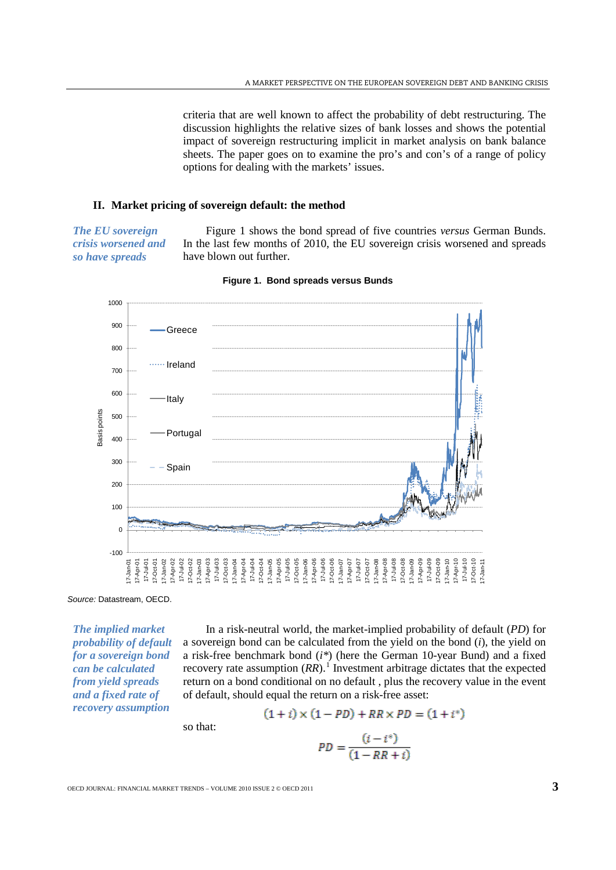criteria that are well known to affect the probability of debt restructuring. The discussion highlights the relative sizes of bank losses and shows the potential impact of sovereign restructuring implicit in market analysis on bank balance sheets. The paper goes on to examine the pro's and con's of a range of policy options for dealing with the markets' issues.

# **II. Market pricing of sovereign default: the method**

*The EU sovereign crisis worsened and so have spreads*

Figure 1 shows the bond spread of five countries *versus* German Bunds. In the last few months of 2010, the EU sovereign crisis worsened and spreads have blown out further.





*Source:* Datastream, OECD.

*The implied market probability of default for a sovereign bond can be calculated from yield spreads and a fixed rate of recovery assumption*

In a risk-neutral world, the market-implied probability of default (*PD*) for a sovereign bond can be calculated from the yield on the bond (*i*), the yield on a risk-free benchmark bond (*i\**) (here the German 10-year Bund) and a fixed recovery rate assumption  $(RR)$ .<sup>[1](#page-26-0)</sup> Investment arbitrage dictates that the expected return on a bond conditional on no default , plus the recovery value in the event of default, should equal the return on a risk-free asset:

so that:

$$
PD = \frac{(i - i^*)}{(1 - RR + i)}
$$

 $(1+i) \times (1-PD) + RR \times PD = (1+i^*)$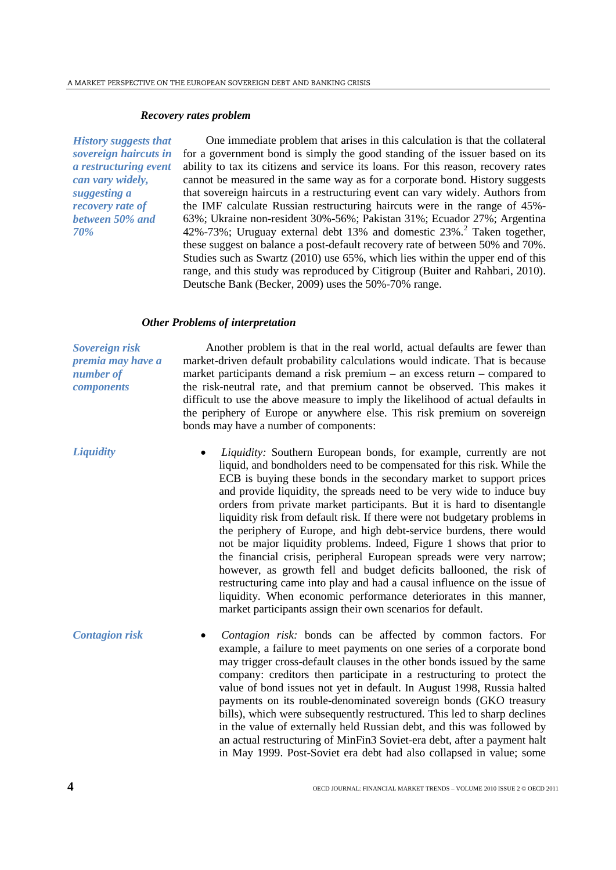#### *Recovery rates problem*

*History suggests that sovereign haircuts in a restructuring event can vary widely, suggesting a recovery rate of between 50% and 70%*

One immediate problem that arises in this calculation is that the collateral for a government bond is simply the good standing of the issuer based on its ability to tax its citizens and service its loans. For this reason, recovery rates cannot be measured in the same way as for a corporate bond. History suggests that sovereign haircuts in a restructuring event can vary widely. Authors from the IMF calculate Russian restructuring haircuts were in the range of 45%- 63%; Ukraine non-resident 30%-56%; Pakistan 31%; Ecuador 27%; Argentina 4[2](#page-26-1)%-73%; Uruguay external debt 13% and domestic 23%.<sup>2</sup> Taken together, these suggest on balance a post-default recovery rate of between 50% and 70%. Studies such as Swartz (2010) use 65%, which lies within the upper end of this range, and this study was reproduced by Citigroup (Buiter and Rahbari, 2010). Deutsche Bank (Becker, 2009) uses the 50%-70% range.

## *Other Problems of interpretation*

*Sovereign risk premia may have a number of components*

Another problem is that in the real world, actual defaults are fewer than market-driven default probability calculations would indicate. That is because market participants demand a risk premium – an excess return – compared to the risk-neutral rate, and that premium cannot be observed. This makes it difficult to use the above measure to imply the likelihood of actual defaults in the periphery of Europe or anywhere else. This risk premium on sovereign bonds may have a number of components:

- *Liquidity Liquidity:* Southern European bonds, for example, currently are not liquid, and bondholders need to be compensated for this risk. While the ECB is buying these bonds in the secondary market to support prices and provide liquidity, the spreads need to be very wide to induce buy orders from private market participants. But it is hard to disentangle liquidity risk from default risk. If there were not budgetary problems in the periphery of Europe, and high debt-service burdens, there would not be major liquidity problems. Indeed, Figure 1 shows that prior to the financial crisis, peripheral European spreads were very narrow; however, as growth fell and budget deficits ballooned, the risk of restructuring came into play and had a causal influence on the issue of liquidity. When economic performance deteriorates in this manner, market participants assign their own scenarios for default.
- *Contagion risk Contagion risk:* bonds can be affected by common factors. For example, a failure to meet payments on one series of a corporate bond may trigger cross-default clauses in the other bonds issued by the same company: creditors then participate in a restructuring to protect the value of bond issues not yet in default. In August 1998, Russia halted payments on its rouble-denominated sovereign bonds (GKO treasury bills), which were subsequently restructured. This led to sharp declines in the value of externally held Russian debt, and this was followed by an actual restructuring of MinFin3 Soviet-era debt, after a payment halt in May 1999. Post-Soviet era debt had also collapsed in value; some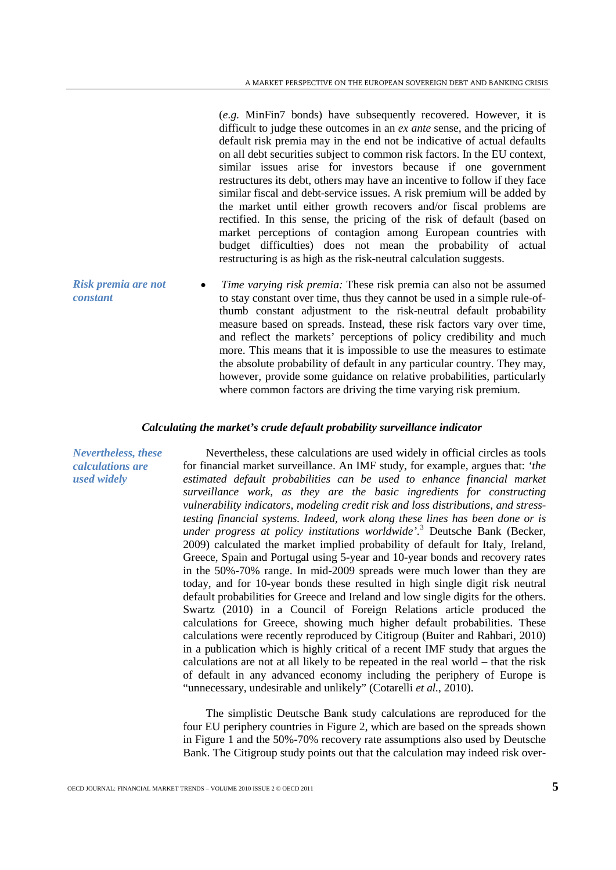(*e.g.* MinFin7 bonds) have subsequently recovered. However, it is difficult to judge these outcomes in an *ex ante* sense, and the pricing of default risk premia may in the end not be indicative of actual defaults on all debt securities subject to common risk factors. In the EU context, similar issues arise for investors because if one government restructures its debt, others may have an incentive to follow if they face similar fiscal and debt-service issues. A risk premium will be added by the market until either growth recovers and/or fiscal problems are rectified. In this sense, the pricing of the risk of default (based on market perceptions of contagion among European countries with budget difficulties) does not mean the probability of actual restructuring is as high as the risk-neutral calculation suggests.

*Risk premia are not constant* • *Time varying risk premia:* These risk premia can also not be assumed to stay constant over time, thus they cannot be used in a simple rule-ofthumb constant adjustment to the risk-neutral default probability measure based on spreads. Instead, these risk factors vary over time, and reflect the markets' perceptions of policy credibility and much more. This means that it is impossible to use the measures to estimate the absolute probability of default in any particular country. They may, however, provide some guidance on relative probabilities, particularly where common factors are driving the time varying risk premium.

# *Calculating the market's crude default probability surveillance indicator*

*Nevertheless, these calculations are used widely*

Nevertheless, these calculations are used widely in official circles as tools for financial market surveillance. An IMF study, for example, argues that: *'the estimated default probabilities can be used to enhance financial market surveillance work, as they are the basic ingredients for constructing vulnerability indicators, modeling credit risk and loss distributions, and stresstesting financial systems. Indeed, work along these lines has been done or is under progress at policy institutions worldwide'*. [3](#page-26-2) Deutsche Bank (Becker, 2009) calculated the market implied probability of default for Italy, Ireland, Greece, Spain and Portugal using 5-year and 10-year bonds and recovery rates in the 50%-70% range. In mid-2009 spreads were much lower than they are today, and for 10-year bonds these resulted in high single digit risk neutral default probabilities for Greece and Ireland and low single digits for the others. Swartz (2010) in a Council of Foreign Relations article produced the calculations for Greece, showing much higher default probabilities. These calculations were recently reproduced by Citigroup (Buiter and Rahbari, 2010) in a publication which is highly critical of a recent IMF study that argues the calculations are not at all likely to be repeated in the real world – that the risk of default in any advanced economy including the periphery of Europe is "unnecessary, undesirable and unlikely" (Cotarelli *et al.*, 2010).

The simplistic Deutsche Bank study calculations are reproduced for the four EU periphery countries in Figure 2, which are based on the spreads shown in Figure 1 and the 50%-70% recovery rate assumptions also used by Deutsche Bank. The Citigroup study points out that the calculation may indeed risk over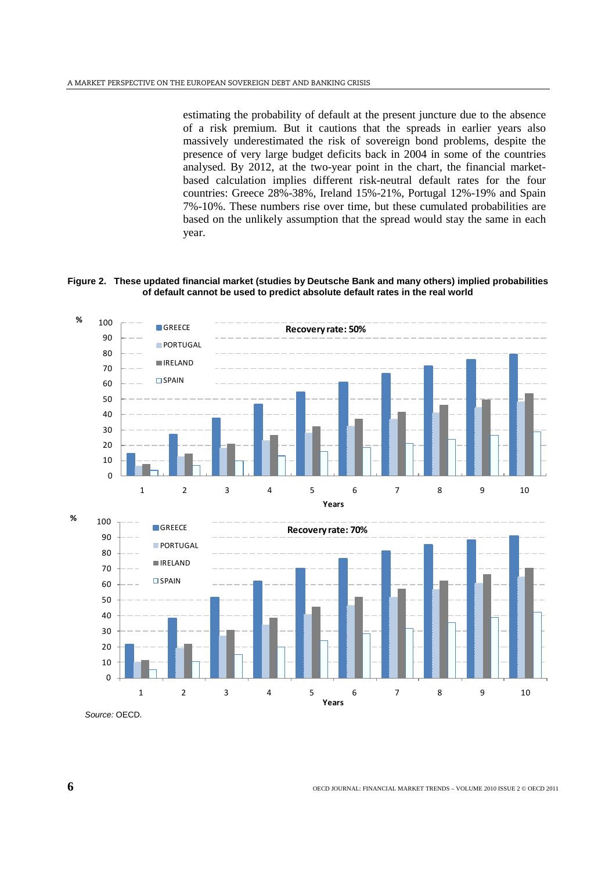estimating the probability of default at the present juncture due to the absence of a risk premium. But it cautions that the spreads in earlier years also massively underestimated the risk of sovereign bond problems, despite the presence of very large budget deficits back in 2004 in some of the countries analysed. By 2012, at the two-year point in the chart, the financial marketbased calculation implies different risk-neutral default rates for the four countries: Greece 28%-38%, Ireland 15%-21%, Portugal 12%-19% and Spain 7%-10%. These numbers rise over time, but these cumulated probabilities are based on the unlikely assumption that the spread would stay the same in each year.

**Figure 2. These updated financial market (studies by Deutsche Bank and many others) implied probabilities of default cannot be used to predict absolute default rates in the real world**



*Source:* OECD.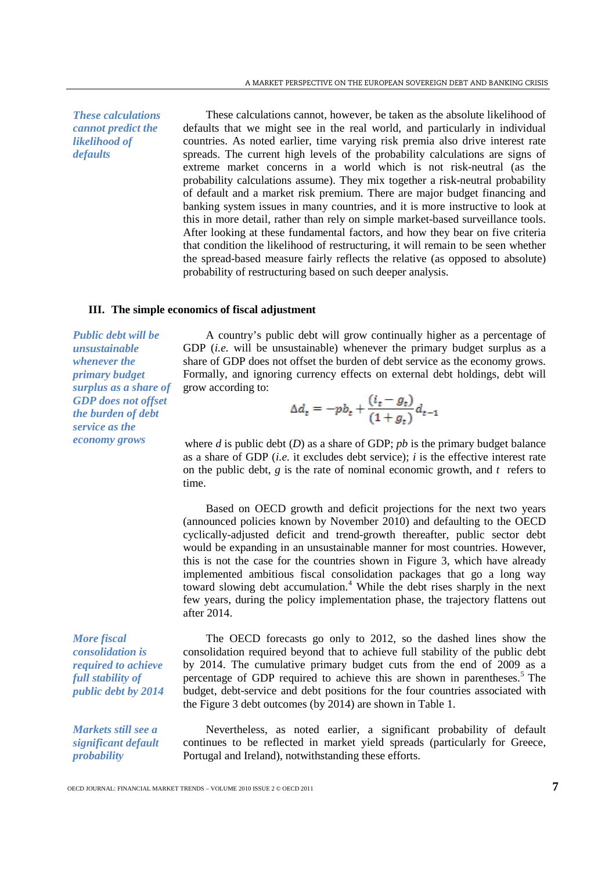*These calculations cannot predict the likelihood of defaults*

These calculations cannot, however, be taken as the absolute likelihood of defaults that we might see in the real world, and particularly in individual countries. As noted earlier, time varying risk premia also drive interest rate spreads. The current high levels of the probability calculations are signs of extreme market concerns in a world which is not risk-neutral (as the probability calculations assume). They mix together a risk-neutral probability of default and a market risk premium. There are major budget financing and banking system issues in many countries, and it is more instructive to look at this in more detail, rather than rely on simple market-based surveillance tools. After looking at these fundamental factors, and how they bear on five criteria that condition the likelihood of restructuring, it will remain to be seen whether the spread-based measure fairly reflects the relative (as opposed to absolute) probability of restructuring based on such deeper analysis.

## **III. The simple economics of fiscal adjustment**

*Public debt will be unsustainable whenever the primary budget surplus as a share of GDP does not offset the burden of debt service as the economy grows*

*More fiscal consolidation is required to achieve full stability of public debt by 2014*

*Markets still see a significant default probability*

A country's public debt will grow continually higher as a percentage of GDP *(i.e.* will be unsustainable) whenever the primary budget surplus as a share of GDP does not offset the burden of debt service as the economy grows. Formally, and ignoring currency effects on external debt holdings, debt will grow according to:

$$
\Delta d_t = -pb_t + \frac{(i_t - g_t)}{(1 + g_t)}d_{t-1}
$$

where *d* is public debt (*D*) as a share of GDP; *pb* is the primary budget balance as a share of GDP (*i.e.* it excludes debt service); *i* is the effective interest rate on the public debt,  $g$  is the rate of nominal economic growth, and  $t$  refers to time.

Based on OECD growth and deficit projections for the next two years (announced policies known by November 2010) and defaulting to the OECD cyclically-adjusted deficit and trend-growth thereafter, public sector debt would be expanding in an unsustainable manner for most countries. However, this is not the case for the countries shown in Figure 3, which have already implemented ambitious fiscal consolidation packages that go a long way toward slowing debt accumulation.<sup>[4](#page-26-3)</sup> While the debt rises sharply in the next few years, during the policy implementation phase, the trajectory flattens out after 2014.

The OECD forecasts go only to 2012, so the dashed lines show the consolidation required beyond that to achieve full stability of the public debt by 2014. The cumulative primary budget cuts from the end of 2009 as a percentage of GDP required to achieve this are shown in parentheses.<sup>[5](#page-26-4)</sup> The budget, debt-service and debt positions for the four countries associated with the Figure 3 debt outcomes (by 2014) are shown in Table 1.

Nevertheless, as noted earlier, a significant probability of default continues to be reflected in market yield spreads (particularly for Greece, Portugal and Ireland), notwithstanding these efforts.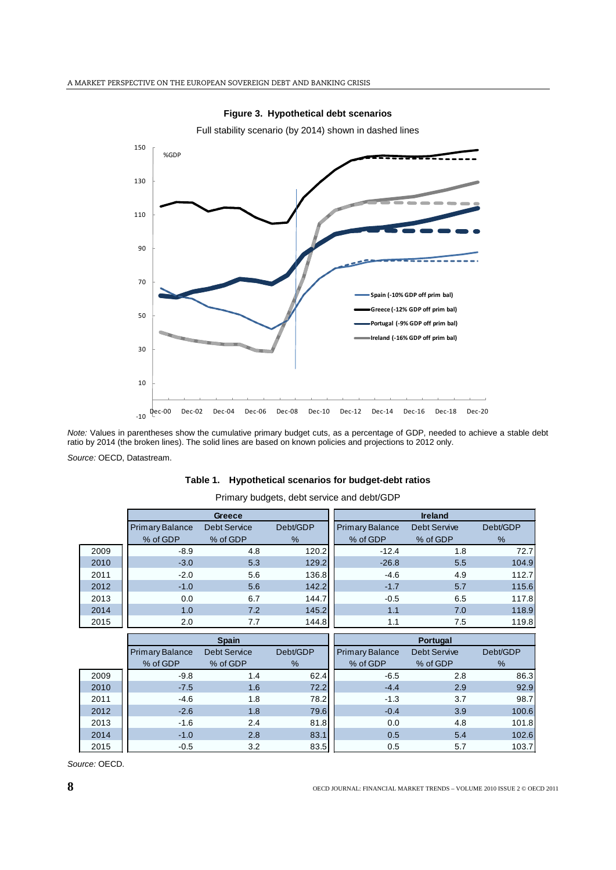

**Figure 3. Hypothetical debt scenarios**

*Note:* Values in parentheses show the cumulative primary budget cuts, as a percentage of GDP, needed to achieve a stable debt ratio by 2014 (the broken lines). The solid lines are based on known policies and projections to 2012 only.

*Source:* OECD, Datastream.

|      |                        | Greece              |          | <b>Ireland</b>         |                     |          |  |
|------|------------------------|---------------------|----------|------------------------|---------------------|----------|--|
|      | <b>Primary Balance</b> | <b>Debt Service</b> | Debt/GDP | <b>Primary Balance</b> | <b>Debt Servive</b> | Debt/GDP |  |
|      | % of GDP               | % of GDP            | %        | % of GDP               | % of GDP            | %        |  |
| 2009 | $-8.9$                 | 4.8                 | 120.2    | $-12.4$                | 1.8                 | 72.7     |  |
| 2010 | $-3.0$                 | 5.3                 | 129.2    | $-26.8$                | 5.5                 | 104.9    |  |
| 2011 | $-2.0$                 | 5.6                 | 136.8    | $-4.6$                 | 4.9                 | 112.7    |  |
| 2012 | $-1.0$                 | 5.6                 | 142.2    | $-1.7$                 | 5.7                 | 115.6    |  |
| 2013 | 0.0                    | 6.7                 | 144.7    | $-0.5$                 | 6.5                 | 117.8    |  |
| 2014 | 1.0                    | 7.2                 | 145.2    | 1.1                    | 7.0                 | 118.9    |  |
| 2015 | 2.0                    | 7.7                 | 144.8    | 1.1                    | 7.5                 | 119.8    |  |
|      |                        |                     |          |                        |                     |          |  |
|      |                        |                     |          |                        |                     |          |  |
|      |                        | <b>Spain</b>        |          |                        | Portugal            |          |  |
|      | <b>Primary Balance</b> | <b>Debt Service</b> | Debt/GDP | <b>Primary Balance</b> | <b>Debt Servive</b> | Debt/GDP |  |
|      | % of GDP               | % of GDP            | %        | % of GDP               | % of GDP            | %        |  |
| 2009 | $-9.8$                 | 1.4                 | 62.4     | $-6.5$                 | 2.8                 | 86.3     |  |
| 2010 | $-7.5$                 | 1.6                 | 72.2     | $-4.4$                 | 2.9                 | 92.9     |  |
| 2011 | $-4.6$                 | 1.8                 | 78.2     | $-1.3$                 | 3.7                 | 98.7     |  |
| 2012 | $-2.6$                 | 1.8                 | 79.6     | $-0.4$                 | 3.9                 | 100.6    |  |
| 2013 | $-1.6$                 | 2.4                 | 81.8     | 0.0                    | 4.8                 | 101.8    |  |

2015 -0.5 3.2 83.5 0.5 5.7 103.7

**Table 1. Hypothetical scenarios for budget-debt ratios** Primary budgets, debt service and debt/GDP

*Source:* OECD.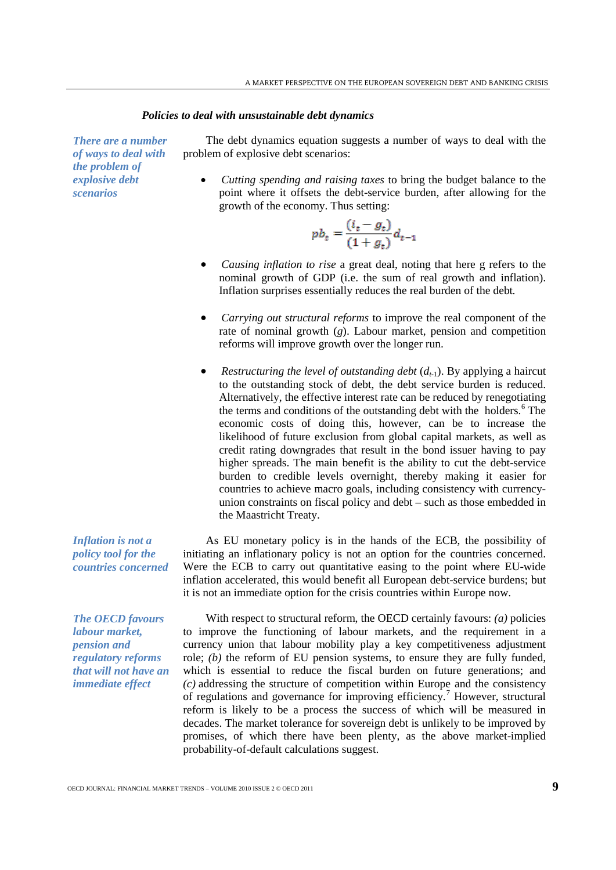#### *Policies to deal with unsustainable debt dynamics*

*There are a number of ways to deal with the problem of explosive debt scenarios*

The debt dynamics equation suggests a number of ways to deal with the problem of explosive debt scenarios:

• *Cutting spending and raising taxes* to bring the budget balance to the point where it offsets the debt-service burden, after allowing for the growth of the economy. Thus setting:

$$
pb_t = \frac{(i_t - g_t)}{(1 + g_t)} d_{t-1}
$$

- *Causing inflation to rise* a great deal, noting that here g refers to the nominal growth of GDP (i.e. the sum of real growth and inflation). Inflation surprises essentially reduces the real burden of the debt*.*
- *Carrying out structural reforms* to improve the real component of the rate of nominal growth (*g*). Labour market, pension and competition reforms will improve growth over the longer run.
- *Restructuring the level of outstanding debt*  $(d_{t-1})$ . By applying a haircut to the outstanding stock of debt, the debt service burden is reduced. Alternatively, the effective interest rate can be reduced by renegotiating the terms and conditions of the outstanding debt with the holders.<sup>[6](#page-26-5)</sup> The economic costs of doing this, however, can be to increase the likelihood of future exclusion from global capital markets, as well as credit rating downgrades that result in the bond issuer having to pay higher spreads. The main benefit is the ability to cut the debt-service burden to credible levels overnight, thereby making it easier for countries to achieve macro goals, including consistency with currencyunion constraints on fiscal policy and debt – such as those embedded in the Maastricht Treaty.

As EU monetary policy is in the hands of the ECB, the possibility of initiating an inflationary policy is not an option for the countries concerned. Were the ECB to carry out quantitative easing to the point where EU-wide inflation accelerated, this would benefit all European debt-service burdens; but it is not an immediate option for the crisis countries within Europe now.

With respect to structural reform, the OECD certainly favours: *(a)* policies to improve the functioning of labour markets, and the requirement in a currency union that labour mobility play a key competitiveness adjustment role; *(b)* the reform of EU pension systems, to ensure they are fully funded, which is essential to reduce the fiscal burden on future generations; and *(c)* addressing the structure of competition within Europe and the consistency of regulations and governance for improving efficiency.<sup>[7](#page-26-6)</sup> However, structural reform is likely to be a process the success of which will be measured in decades. The market tolerance for sovereign debt is unlikely to be improved by promises, of which there have been plenty, as the above market-implied probability-of-default calculations suggest.

*Inflation is not a policy tool for the countries concerned*

*The OECD favours labour market, pension and regulatory reforms that will not have an immediate effect*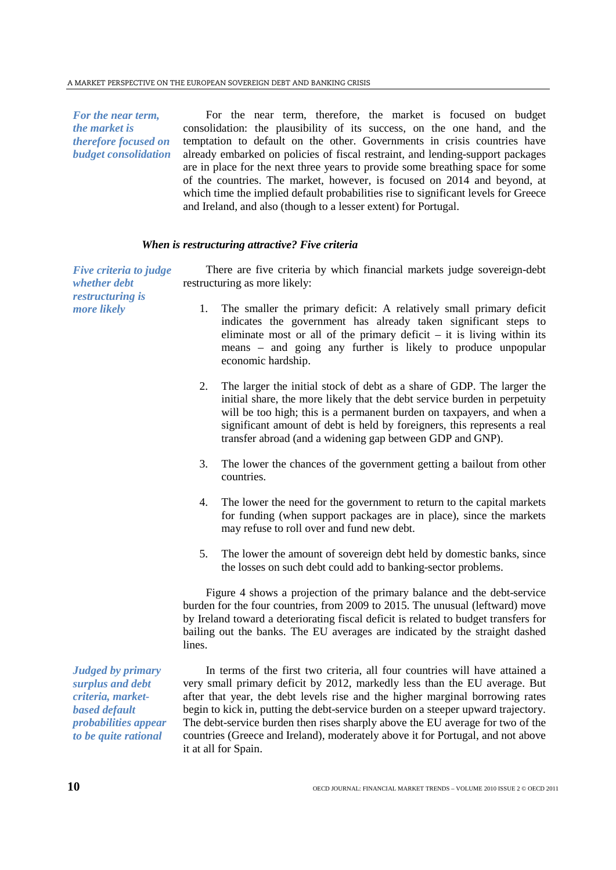*For the near term, the market is therefore focused on budget consolidation*

For the near term, therefore, the market is focused on budget consolidation: the plausibility of its success, on the one hand, and the temptation to default on the other. Governments in crisis countries have already embarked on policies of fiscal restraint, and lending-support packages are in place for the next three years to provide some breathing space for some of the countries. The market, however, is focused on 2014 and beyond, at which time the implied default probabilities rise to significant levels for Greece and Ireland, and also (though to a lesser extent) for Portugal.

# *When is restructuring attractive? Five criteria*

*Five criteria to judge whether debt restructuring is more likely* There are five criteria by which financial markets judge sovereign-debt restructuring as more likely: 1. The smaller the primary deficit: A relatively small primary deficit indicates the government has already taken significant steps to eliminate most or all of the primary deficit  $-$  it is living within its means – and going any further is likely to produce unpopular economic hardship. 2. The larger the initial stock of debt as a share of GDP. The larger the initial share, the more likely that the debt service burden in perpetuity will be too high; this is a permanent burden on taxpayers, and when a significant amount of debt is held by foreigners, this represents a real transfer abroad (and a widening gap between GDP and GNP). 3. The lower the chances of the government getting a bailout from other countries. 4. The lower the need for the government to return to the capital markets for funding (when support packages are in place), since the markets may refuse to roll over and fund new debt. 5. The lower the amount of sovereign debt held by domestic banks, since the losses on such debt could add to banking-sector problems.

Figure 4 shows a projection of the primary balance and the debt-service burden for the four countries, from 2009 to 2015. The unusual (leftward) move by Ireland toward a deteriorating fiscal deficit is related to budget transfers for bailing out the banks. The EU averages are indicated by the straight dashed lines.

In terms of the first two criteria, all four countries will have attained a very small primary deficit by 2012, markedly less than the EU average. But after that year, the debt levels rise and the higher marginal borrowing rates begin to kick in, putting the debt-service burden on a steeper upward trajectory. The debt-service burden then rises sharply above the EU average for two of the countries (Greece and Ireland), moderately above it for Portugal, and not above it at all for Spain.

*Judged by primary surplus and debt criteria, marketbased default probabilities appear to be quite rational*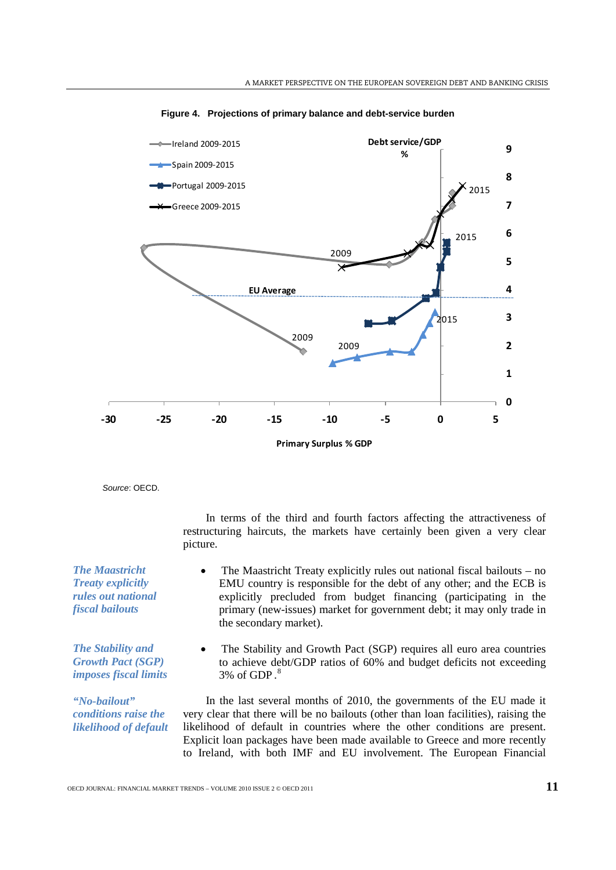

**Figure 4. Projections of primary balance and debt-service burden**

*Source*: OECD.

In terms of the third and fourth factors affecting the attractiveness of restructuring haircuts, the markets have certainly been given a very clear picture.

- The Maastricht Treaty explicitly rules out national fiscal bailouts no EMU country is responsible for the debt of any other; and the ECB is explicitly precluded from budget financing (participating in the primary (new-issues) market for government debt; it may only trade in the secondary market).
- The Stability and Growth Pact (SGP) requires all euro area countries to achieve debt/GDP ratios of 60% and budget deficits not exceeding  $3\%$  of GDP. $^8$  $^8$

In the last several months of 2010, the governments of the EU made it very clear that there will be no bailouts (other than loan facilities), raising the likelihood of default in countries where the other conditions are present. Explicit loan packages have been made available to Greece and more recently to Ireland, with both IMF and EU involvement. The European Financial

*The Maastricht Treaty explicitly rules out national fiscal bailouts*

*The Stability and Growth Pact (SGP) imposes fiscal limits* 

*"No-bailout" conditions raise the likelihood of default*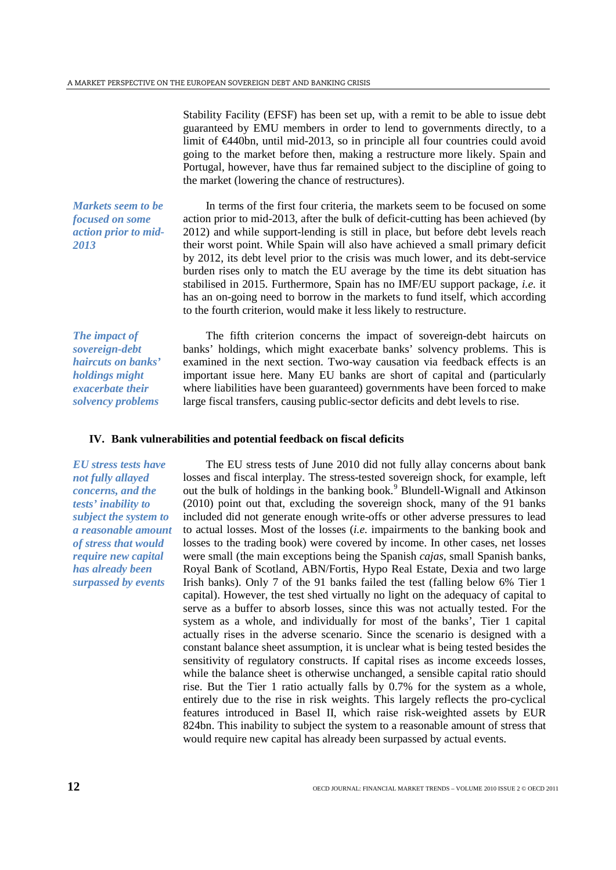Stability Facility (EFSF) has been set up, with a remit to be able to issue debt guaranteed by EMU members in order to lend to governments directly, to a limit of €440bn, until mid-2013, so in principle all four countries could avoid going to the market before then, making a restructure more likely. Spain and Portugal, however, have thus far remained subject to the discipline of going to the market (lowering the chance of restructures).

*Markets seem to be focused on some action prior to mid-2013*

In terms of the first four criteria, the markets seem to be focused on some action prior to mid-2013, after the bulk of deficit-cutting has been achieved (by 2012) and while support-lending is still in place, but before debt levels reach their worst point. While Spain will also have achieved a small primary deficit by 2012, its debt level prior to the crisis was much lower, and its debt-service burden rises only to match the EU average by the time its debt situation has stabilised in 2015. Furthermore, Spain has no IMF/EU support package, *i.e.* it has an on-going need to borrow in the markets to fund itself, which according to the fourth criterion, would make it less likely to restructure.

*The impact of sovereign-debt haircuts on banks' holdings might exacerbate their solvency problems*

The fifth criterion concerns the impact of sovereign-debt haircuts on banks' holdings, which might exacerbate banks' solvency problems. This is examined in the next section. Two-way causation via feedback effects is an important issue here. Many EU banks are short of capital and (particularly where liabilities have been guaranteed) governments have been forced to make large fiscal transfers, causing public-sector deficits and debt levels to rise.

#### **IV. Bank vulnerabilities and potential feedback on fiscal deficits**

*EU stress tests have not fully allayed concerns, and the tests' inability to subject the system to a reasonable amount of stress that would require new capital has already been surpassed by events*

The EU stress tests of June 2010 did not fully allay concerns about bank losses and fiscal interplay. The stress-tested sovereign shock, for example, left out the bulk of holdings in the banking book.<sup>[9](#page-26-8)</sup> Blundell-Wignall and Atkinson (2010) point out that, excluding the sovereign shock, many of the 91 banks included did not generate enough write-offs or other adverse pressures to lead to actual losses. Most of the losses (*i.e.* impairments to the banking book and losses to the trading book) were covered by income. In other cases, net losses were small (the main exceptions being the Spanish *cajas*, small Spanish banks, Royal Bank of Scotland, ABN/Fortis, Hypo Real Estate, Dexia and two large Irish banks). Only 7 of the 91 banks failed the test (falling below 6% Tier 1 capital). However, the test shed virtually no light on the adequacy of capital to serve as a buffer to absorb losses, since this was not actually tested. For the system as a whole, and individually for most of the banks', Tier 1 capital actually rises in the adverse scenario. Since the scenario is designed with a constant balance sheet assumption, it is unclear what is being tested besides the sensitivity of regulatory constructs. If capital rises as income exceeds losses, while the balance sheet is otherwise unchanged, a sensible capital ratio should rise. But the Tier 1 ratio actually falls by 0.7% for the system as a whole, entirely due to the rise in risk weights. This largely reflects the pro-cyclical features introduced in Basel II, which raise risk-weighted assets by EUR 824bn. This inability to subject the system to a reasonable amount of stress that would require new capital has already been surpassed by actual events.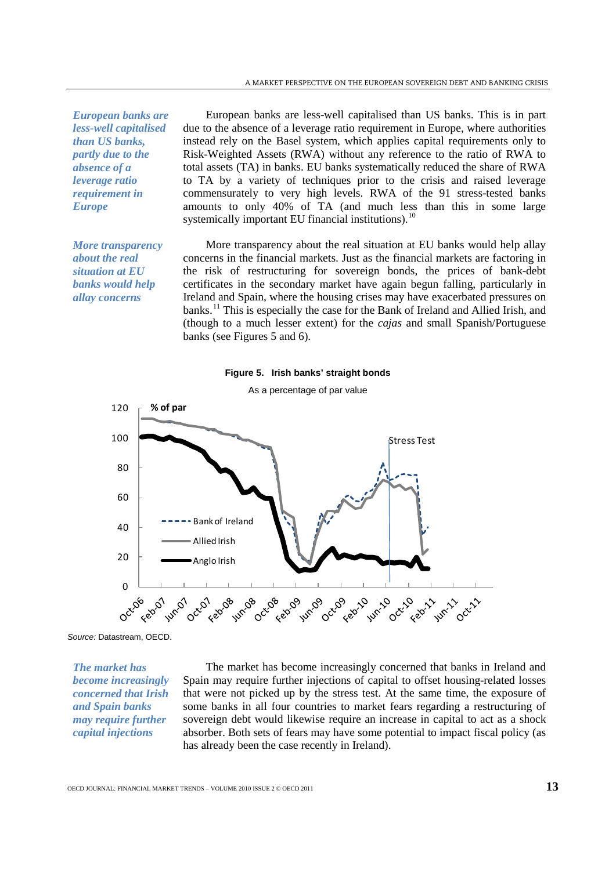*European banks are less-well capitalised than US banks, partly due to the absence of a leverage ratio requirement in Europe*

*More transparency about the real situation at EU banks would help allay concerns*

European banks are less-well capitalised than US banks. This is in part due to the absence of a leverage ratio requirement in Europe, where authorities instead rely on the Basel system, which applies capital requirements only to Risk-Weighted Assets (RWA) without any reference to the ratio of RWA to total assets (TA) in banks. EU banks systematically reduced the share of RWA to TA by a variety of techniques prior to the crisis and raised leverage commensurately to very high levels. RWA of the 91 stress-tested banks amounts to only 40% of TA (and much less than this in some large systemically important EU financial institutions).<sup>[10](#page-26-9)</sup>

More transparency about the real situation at EU banks would help allay concerns in the financial markets. Just as the financial markets are factoring in the risk of restructuring for sovereign bonds, the prices of bank-debt certificates in the secondary market have again begun falling, particularly in Ireland and Spain, where the housing crises may have exacerbated pressures on banks.<sup>[11](#page-26-10)</sup> This is especially the case for the Bank of Ireland and Allied Irish, and (though to a much lesser extent) for the *cajas* and small Spanish/Portuguese banks (see Figures 5 and 6).





*Source:* Datastream, OECD.

*The market has become increasingly concerned that Irish and Spain banks may require further capital injections* 

The market has become increasingly concerned that banks in Ireland and Spain may require further injections of capital to offset housing-related losses that were not picked up by the stress test. At the same time, the exposure of some banks in all four countries to market fears regarding a restructuring of sovereign debt would likewise require an increase in capital to act as a shock absorber. Both sets of fears may have some potential to impact fiscal policy (as has already been the case recently in Ireland).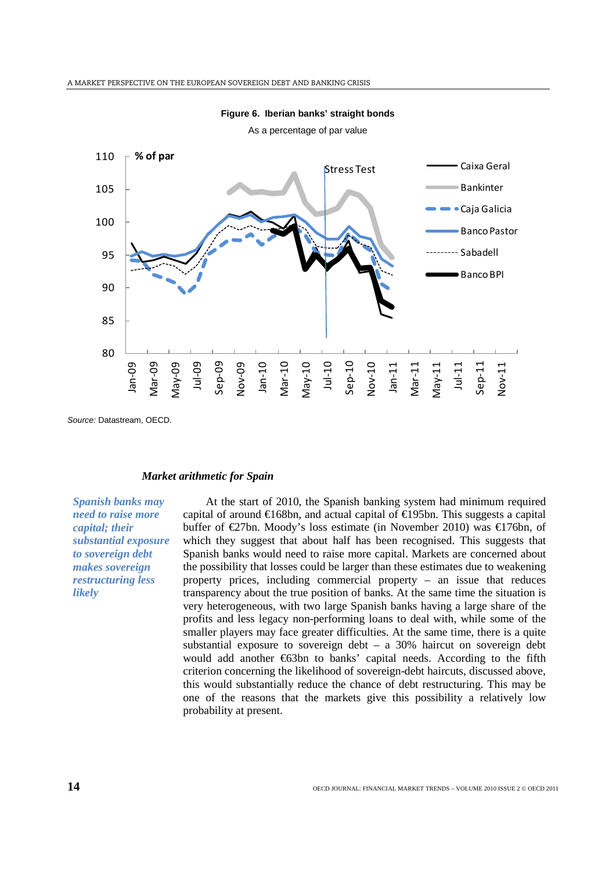

**Figure 6. Iberian banks' straight bonds** As a percentage of par value

*Source:* Datastream, OECD.

## *Market arithmetic for Spain*

*Spanish banks may need to raise more capital; their substantial exposure to sovereign debt makes sovereign restructuring less likely*

At the start of 2010, the Spanish banking system had minimum required capital of around €168bn, and actual capital of €195bn. This suggests a capital buffer of  $\in \mathbb{Z}$ 7bn. Moody's loss estimate (in November 2010) was  $\in \mathbb{Z}$ 76bn, of which they suggest that about half has been recognised. This suggests that Spanish banks would need to raise more capital. Markets are concerned about the possibility that losses could be larger than these estimates due to weakening property prices, including commercial property – an issue that reduces transparency about the true position of banks. At the same time the situation is very heterogeneous, with two large Spanish banks having a large share of the profits and less legacy non-performing loans to deal with, while some of the smaller players may face greater difficulties. At the same time, there is a quite substantial exposure to sovereign debt – a 30% haircut on sovereign debt would add another €63bn to banks' capital needs. According to the fifth criterion concerning the likelihood of sovereign-debt haircuts, discussed above, this would substantially reduce the chance of debt restructuring. This may be one of the reasons that the markets give this possibility a relatively low probability at present.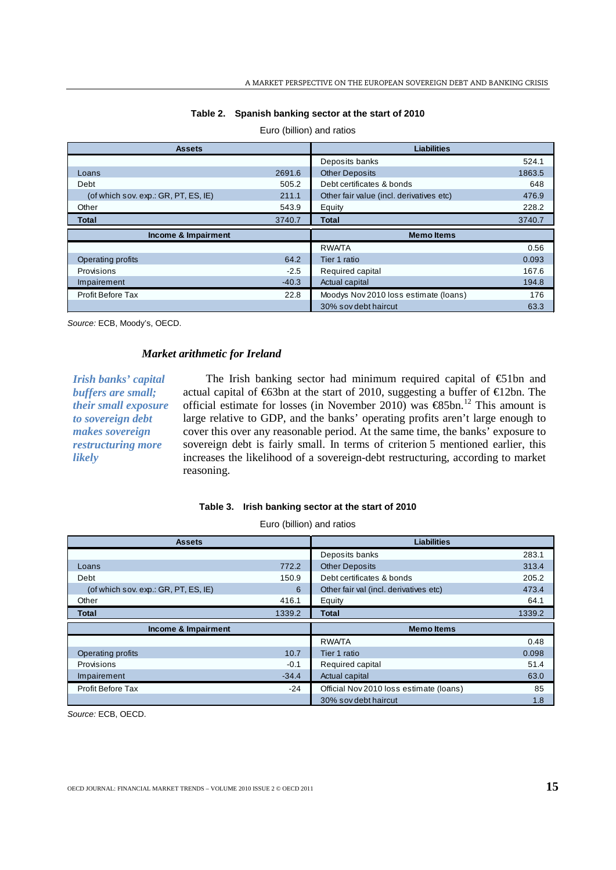| <b>Assets</b>                        |         | <b>Liabilities</b>                       |        |
|--------------------------------------|---------|------------------------------------------|--------|
|                                      |         | Deposits banks                           | 524.1  |
| Loans                                | 2691.6  | <b>Other Deposits</b>                    | 1863.5 |
| Debt                                 | 505.2   | Debt certificates & bonds                | 648    |
| (of which sov. exp.: GR, PT, ES, IE) | 211.1   | Other fair value (incl. derivatives etc) | 476.9  |
| Other                                | 543.9   | Equity                                   | 228.2  |
| <b>Total</b>                         | 3740.7  | <b>Total</b>                             | 3740.7 |
|                                      |         |                                          |        |
| Income & Impairment                  |         | <b>Memo Items</b>                        |        |
|                                      |         | <b>RWATA</b>                             | 0.56   |
| Operating profits                    | 64.2    | Tier 1 ratio                             | 0.093  |
| Provisions                           | $-2.5$  | Required capital                         | 167.6  |
| Impairement                          | $-40.3$ | Actual capital                           | 194.8  |
| Profit Before Tax                    | 22.8    | Moodys Nov 2010 loss estimate (loans)    | 176    |

# **Table 2. Spanish banking sector at the start of 2010** Euro (billion) and ratios

*Source:* ECB, Moody's, OECD.

## *Market arithmetic for Ireland*

*Irish banks' capital buffers are small; their small exposure to sovereign debt makes sovereign restructuring more likely*

The Irish banking sector had minimum required capital of  $\epsilon$ 1bn and actual capital of €63bn at the start of 2010, suggesting a buffer of €12bn. The official estimate for losses (in November 2010) was  $\epsilon$ 85bn.<sup>[12](#page-26-11)</sup> This amount is large relative to GDP, and the banks' operating profits aren't large enough to cover this over any reasonable period. At the same time, the banks' exposure to sovereign debt is fairly small. In terms of criterion 5 mentioned earlier, this increases the likelihood of a sovereign-debt restructuring, according to market reasoning.

#### **Table 3. Irish banking sector at the start of 2010**

Euro (billion) and ratios

| <b>Assets</b>                        |         | <b>Liabilities</b>                      |        |
|--------------------------------------|---------|-----------------------------------------|--------|
|                                      |         | Deposits banks                          | 283.1  |
| Loans                                | 772.2   | <b>Other Deposits</b>                   | 313.4  |
| Debt                                 | 150.9   | Debt certificates & bonds               | 205.2  |
| (of which sov. exp.: GR, PT, ES, IE) | 6       | Other fair val (incl. derivatives etc)  | 473.4  |
| Other                                | 416.1   | Equity                                  | 64.1   |
| <b>Total</b>                         | 1339.2  | <b>Total</b>                            | 1339.2 |
|                                      |         |                                         |        |
| Income & Impairment                  |         | <b>Memo Items</b>                       |        |
|                                      |         | <b>RWATA</b>                            | 0.48   |
| Operating profits                    | 10.7    | Tier 1 ratio                            | 0.098  |
| Provisions                           | $-0.1$  | Required capital                        | 51.4   |
| Impairement                          | $-34.4$ | Actual capital                          | 63.0   |
| <b>Profit Before Tax</b>             | $-24$   | Official Nov 2010 loss estimate (loans) | 85     |

*Source:* ECB, OECD.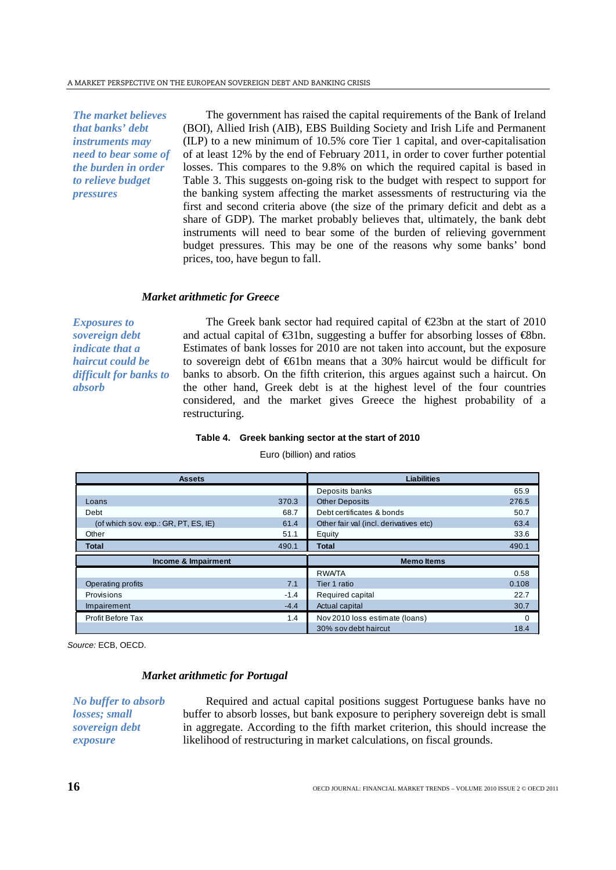*The market believes that banks' debt instruments may need to bear some of the burden in order to relieve budget pressures*

The government has raised the capital requirements of the Bank of Ireland (BOI), Allied Irish (AIB), EBS Building Society and Irish Life and Permanent (ILP) to a new minimum of 10.5% core Tier 1 capital, and over-capitalisation of at least 12% by the end of February 2011, in order to cover further potential losses. This compares to the 9.8% on which the required capital is based in Table 3. This suggests on-going risk to the budget with respect to support for the banking system affecting the market assessments of restructuring via the first and second criteria above (the size of the primary deficit and debt as a share of GDP). The market probably believes that, ultimately, the bank debt instruments will need to bear some of the burden of relieving government budget pressures. This may be one of the reasons why some banks' bond prices, too, have begun to fall.

# *Market arithmetic for Greece*

*Exposures to sovereign debt indicate that a haircut could be difficult for banks to absorb*

The Greek bank sector had required capital of  $\epsilon$ 23bn at the start of 2010 and actual capital of  $\bigoplus$ 1bn, suggesting a buffer for absorbing losses of  $\bigoplus$ bn. Estimates of bank losses for 2010 are not taken into account, but the exposure to sovereign debt of €61bn means that a 30% haircut would be difficult for banks to absorb. On the fifth criterion, this argues against such a haircut. On the other hand, Greek debt is at the highest level of the four countries considered, and the market gives Greece the highest probability of a restructuring.

#### **Table 4. Greek banking sector at the start of 2010**

Euro (billion) and ratios

| <b>Assets</b>                        |        | <b>Liabilities</b>                     |          |  |
|--------------------------------------|--------|----------------------------------------|----------|--|
|                                      |        | Deposits banks                         | 65.9     |  |
| Loans                                | 370.3  | <b>Other Deposits</b>                  | 276.5    |  |
| Debt                                 | 68.7   | Debt certificates & bonds              | 50.7     |  |
| (of which sov. exp.: GR, PT, ES, IE) | 61.4   | Other fair val (incl. derivatives etc) | 63.4     |  |
| Other                                | 51.1   | Equity                                 | 33.6     |  |
| <b>Total</b>                         | 490.1  | <b>Total</b>                           | 490.1    |  |
| Income & Impairment                  |        | <b>Memo Items</b>                      |          |  |
|                                      |        | <b>RWATA</b>                           | 0.58     |  |
| Operating profits                    | 7.1    | Tier 1 ratio                           | 0.108    |  |
| Provisions                           | $-1.4$ | Required capital                       | 22.7     |  |
| Impairement                          | $-4.4$ | Actual capital                         | 30.7     |  |
| <b>Profit Before Tax</b>             | 1.4    | Nov 2010 loss estimate (loans)         | $\Omega$ |  |
|                                      |        | 30% sov debt haircut                   | 18.4     |  |

*Source:* ECB, OECD.

# *Market arithmetic for Portugal*

*No buffer to absorb losses; small sovereign debt exposure*

Required and actual capital positions suggest Portuguese banks have no buffer to absorb losses, but bank exposure to periphery sovereign debt is small in aggregate. According to the fifth market criterion, this should increase the likelihood of restructuring in market calculations, on fiscal grounds.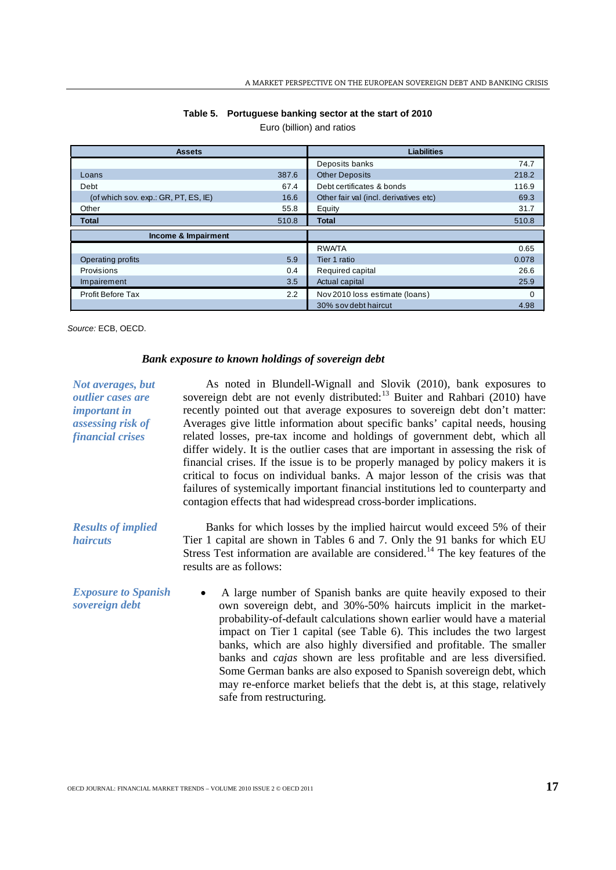| <b>Assets</b>                        |               | <b>Liabilities</b>                     |          |  |
|--------------------------------------|---------------|----------------------------------------|----------|--|
|                                      |               | Deposits banks                         | 74.7     |  |
| Loans                                | 387.6         | <b>Other Deposits</b>                  | 218.2    |  |
| Debt                                 | 67.4          | Debt certificates & bonds              | 116.9    |  |
| (of which sov. exp.: GR, PT, ES, IE) | 16.6          | Other fair val (incl. derivatives etc) | 69.3     |  |
| Other                                | 55.8          | Equity                                 | 31.7     |  |
| <b>Total</b>                         | 510.8         | <b>Total</b>                           | 510.8    |  |
| Income & Impairment                  |               |                                        |          |  |
|                                      |               | <b>RWATA</b>                           | 0.65     |  |
| Operating profits                    | 5.9           | Tier 1 ratio                           | 0.078    |  |
| Provisions                           | 0.4           | Required capital                       | 26.6     |  |
| Impairement                          | 3.5           | Actual capital                         | 25.9     |  |
| <b>Profit Before Tax</b>             | $2.2^{\circ}$ | Nov 2010 loss estimate (loans)         | $\Omega$ |  |
|                                      |               | 30% sov debt haircut                   | 4.98     |  |

#### **Table 5. Portuguese banking sector at the start of 2010**

Euro (billion) and ratios

*Source:* ECB, OECD.

#### *Bank exposure to known holdings of sovereign debt*

*Not averages, but outlier cases are important in assessing risk of financial crises* As noted in Blundell-Wignall and Slovik (2010), bank exposures to sovereign debt are not evenly distributed:<sup>[13](#page-26-12)</sup> Buiter and Rahbari (2010) have *Results of implied haircuts* recently pointed out that average exposures to sovereign debt don't matter: Averages give little information about specific banks' capital needs, housing related losses, pre-tax income and holdings of government debt, which all differ widely. It is the outlier cases that are important in assessing the risk of financial crises. If the issue is to be properly managed by policy makers it is critical to focus on individual banks. A major lesson of the crisis was that failures of systemically important financial institutions led to counterparty and contagion effects that had widespread cross-border implications. Banks for which losses by the implied haircut would exceed 5% of their Tier 1 capital are shown in Tables 6 and 7. Only the 91 banks for which EU Stress Test information are available are considered.<sup>[14](#page-26-13)</sup> The key features of the *Exposure to Spanish sovereign debt* results are as follows: • A large number of Spanish banks are quite heavily exposed to their own sovereign debt, and 30%-50% haircuts implicit in the marketprobability-of-default calculations shown earlier would have a material impact on Tier 1 capital (see Table 6). This includes the two largest banks, which are also highly diversified and profitable. The smaller banks and *cajas* shown are less profitable and are less diversified. Some German banks are also exposed to Spanish sovereign debt, which may re-enforce market beliefs that the debt is, at this stage, relatively safe from restructuring.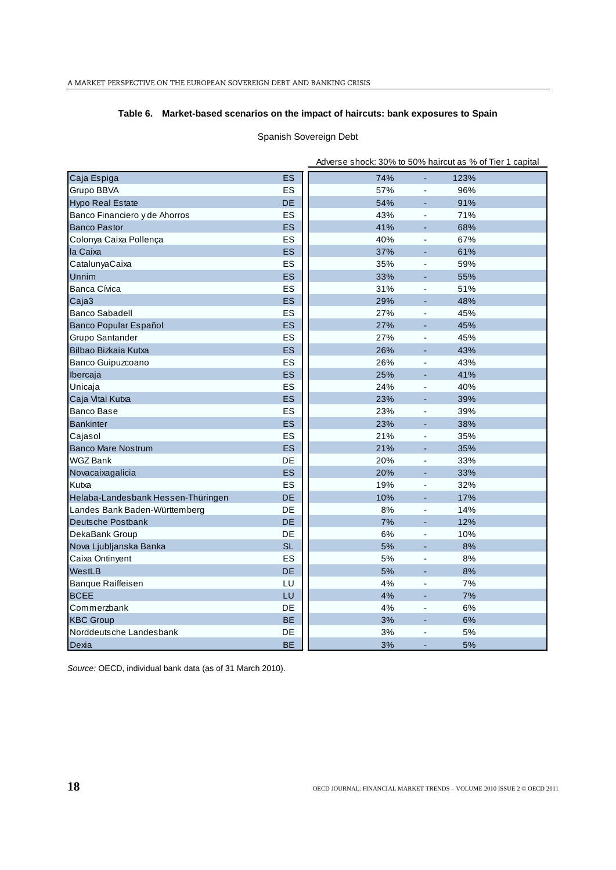# **Table 6. Market-based scenarios on the impact of haircuts: bank exposures to Spain**

# Spanish Sovereign Debt

|                                    |           | Adverse shock: 30% to 50% haircut as % of Tier 1 capital |                              |      |  |
|------------------------------------|-----------|----------------------------------------------------------|------------------------------|------|--|
| Caja Espiga                        | <b>ES</b> | 74%                                                      | ÷,                           | 123% |  |
| Grupo BBVA                         | ES        | 57%                                                      | $\overline{\phantom{a}}$     | 96%  |  |
| <b>Hypo Real Estate</b>            | DE        | 54%                                                      | $\overline{a}$               | 91%  |  |
| Banco Financiero y de Ahorros      | ES        | 43%                                                      | $\blacksquare$               | 71%  |  |
| <b>Banco Pastor</b>                | <b>ES</b> | 41%                                                      | L,                           | 68%  |  |
| Colonya Caixa Pollença             | ES        | 40%                                                      | $\blacksquare$               | 67%  |  |
| la Caixa                           | <b>ES</b> | 37%                                                      | L,                           | 61%  |  |
| CatalunyaCaixa                     | ES        | 35%                                                      | $\overline{\phantom{a}}$     | 59%  |  |
| Unnim                              | ES        | 33%                                                      | ÷,                           | 55%  |  |
| Banca Cívica                       | ES        | 31%                                                      | $\overline{\phantom{a}}$     | 51%  |  |
| Caja3                              | <b>ES</b> | 29%                                                      | $\overline{a}$               | 48%  |  |
| <b>Banco Sabadell</b>              | ES        | 27%                                                      | $\overline{\phantom{a}}$     | 45%  |  |
| Banco Popular Español              | <b>ES</b> | 27%                                                      | L,                           | 45%  |  |
| Grupo Santander                    | ES        | 27%                                                      | $\frac{1}{2}$                | 45%  |  |
| Bilbao Bizkaia Kutxa               | <b>ES</b> | 26%                                                      | $\qquad \qquad \blacksquare$ | 43%  |  |
| Banco Guipuzcoano                  | ES        | 26%                                                      | $\overline{\phantom{a}}$     | 43%  |  |
| Ibercaja                           | <b>ES</b> | 25%                                                      | ÷,                           | 41%  |  |
| Unicaja                            | ES        | 24%                                                      | $\overline{\phantom{a}}$     | 40%  |  |
| Caja Vital Kutxa                   | ES        | 23%                                                      | $\blacksquare$               | 39%  |  |
| <b>Banco Base</b>                  | ES        | 23%                                                      | $\blacksquare$               | 39%  |  |
| <b>Bankinter</b>                   | <b>ES</b> | 23%                                                      | $\blacksquare$               | 38%  |  |
| Cajasol                            | ES        | 21%                                                      | $\blacksquare$               | 35%  |  |
| <b>Banco Mare Nostrum</b>          | ES        | 21%                                                      | ÷,                           | 35%  |  |
| <b>WGZ Bank</b>                    | DE        | 20%                                                      | $\blacksquare$               | 33%  |  |
| Novacaixagalicia                   | ES        | 20%                                                      | ÷,                           | 33%  |  |
| Kutxa                              | ES        | 19%                                                      | $\overline{\phantom{a}}$     | 32%  |  |
| Helaba-Landesbank Hessen-Thüringen | <b>DE</b> | 10%                                                      | $\overline{\phantom{a}}$     | 17%  |  |
| Landes Bank Baden-Württemberg      | DE        | 8%                                                       | $\blacksquare$               | 14%  |  |
| Deutsche Postbank                  | <b>DE</b> | 7%                                                       | $\qquad \qquad \blacksquare$ | 12%  |  |
| DekaBank Group                     | <b>DE</b> | 6%                                                       | $\overline{\phantom{a}}$     | 10%  |  |
| Nova Ljubljanska Banka             | <b>SL</b> | 5%                                                       |                              | 8%   |  |
| Caixa Ontinyent                    | ES        | 5%                                                       | $\overline{\phantom{a}}$     | 8%   |  |
| WestLB                             | <b>DE</b> | 5%                                                       | L,                           | 8%   |  |
| Banque Raiffeisen                  | LU        | 4%                                                       | $\frac{1}{2}$                | 7%   |  |
| <b>BCEE</b>                        | LU        | 4%                                                       | ÷,                           | 7%   |  |
| Commerzbank                        | DE        | 4%                                                       | $\overline{\phantom{a}}$     | 6%   |  |
| <b>KBC Group</b>                   | <b>BE</b> | 3%                                                       | $\overline{a}$               | 6%   |  |
| Norddeutsche Landesbank            | DE        | 3%                                                       | $\overline{a}$               | 5%   |  |
| Dexia                              | <b>BE</b> | 3%                                                       | $\overline{a}$               | 5%   |  |

*Source:* OECD, individual bank data (as of 31 March 2010).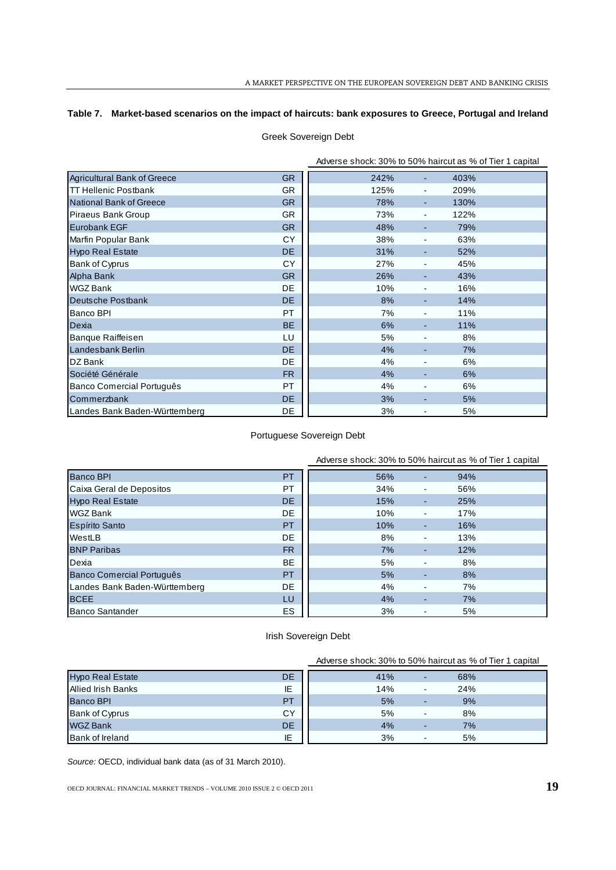# **Table 7. Market-based scenarios on the impact of haircuts: bank exposures to Greece, Portugal and Ireland**

# Greek Sovereign Debt

|                               |           | Adverse shock: 30% to 50% haircut as % of Tier 1 capital |    |      |  |
|-------------------------------|-----------|----------------------------------------------------------|----|------|--|
| Agricultural Bank of Greece   | GR        | 242%                                                     | ۰. | 403% |  |
| <b>TT Hellenic Postbank</b>   | <b>GR</b> | 125%                                                     |    | 209% |  |
| National Bank of Greece       | <b>GR</b> | 78%                                                      |    | 130% |  |
| Piraeus Bank Group            | <b>GR</b> | 73%                                                      |    | 122% |  |
| Eurobank EGF                  | <b>GR</b> | 48%                                                      | ۰. | 79%  |  |
| Marfin Popular Bank           | <b>CY</b> | 38%                                                      |    | 63%  |  |
| <b>Hypo Real Estate</b>       | DE        | 31%                                                      |    | 52%  |  |
| Bank of Cyprus                | <b>CY</b> | 27%                                                      |    | 45%  |  |
| Alpha Bank                    | <b>GR</b> | 26%                                                      |    | 43%  |  |
| WGZ Bank                      | <b>DE</b> | 10%                                                      |    | 16%  |  |
| Deutsche Postbank             | DE.       | 8%                                                       |    | 14%  |  |
| Banco BPI                     | <b>PT</b> | 7%                                                       |    | 11%  |  |
| Dexia                         | <b>BE</b> | 6%                                                       |    | 11%  |  |
| <b>Banque Raiffeisen</b>      | LU        | 5%                                                       |    | 8%   |  |
| Landesbank Berlin             | DE.       | 4%                                                       |    | 7%   |  |
| DZ Bank                       | <b>DE</b> | 4%                                                       |    | 6%   |  |
| Société Générale              | FR.       | 4%                                                       |    | 6%   |  |
| Banco Comercial Português     | PT.       | 4%                                                       |    | 6%   |  |
| Commerzbank                   | DE.       | 3%                                                       |    | 5%   |  |
| Landes Bank Baden-Württemberg | DE        | 3%                                                       |    | 5%   |  |

# Portuguese Sovereign Debt

|                               |           | Adverse shock: 30% to 50% haircut as % of Tier 1 capital |     |  |
|-------------------------------|-----------|----------------------------------------------------------|-----|--|
| <b>Banco BPI</b>              | PT        | 56%                                                      | 94% |  |
| Caixa Geral de Depositos      | PT        | 34%                                                      | 56% |  |
| <b>Hypo Real Estate</b>       | <b>DE</b> | 15%                                                      | 25% |  |
| <b>WGZ Bank</b>               | DE.       | 10%                                                      | 17% |  |
| Espírito Santo                | PT        | 10%                                                      | 16% |  |
| WestLB                        | DE.       | 8%                                                       | 13% |  |
| <b>BNP Paribas</b>            | <b>FR</b> | 7%                                                       | 12% |  |
| Dexia                         | <b>BE</b> | 5%                                                       | 8%  |  |
| Banco Comercial Português     | PT        | 5%                                                       | 8%  |  |
| Landes Bank Baden-Württemberg | DE.       | 4%                                                       | 7%  |  |
| <b>BCEE</b>                   | LU        | 4%                                                       | 7%  |  |
| Banco Santander               | ES        | 3%                                                       | 5%  |  |

# Irish Sovereign Debt

|                         |           |     |                          | Adverse shock: 30% to 50% haircut as % of Tier 1 capital |
|-------------------------|-----------|-----|--------------------------|----------------------------------------------------------|
| <b>Hypo Real Estate</b> | <b>DE</b> | 41% | ٠                        | 68%                                                      |
| Allied Irish Banks      | ΙE        | 14% | $\overline{\phantom{a}}$ | 24%                                                      |
| <b>Banco BPI</b>        | PT        | 5%  |                          | 9%                                                       |
| <b>Bank of Cyprus</b>   | <b>CY</b> | 5%  | $\blacksquare$           | 8%                                                       |
| <b>WGZ Bank</b>         | <b>DE</b> | 4%  |                          | 7%                                                       |
| <b>Bank of Ireland</b>  | ΙE        | 3%  | $\blacksquare$           | 5%                                                       |

*Source:* OECD, individual bank data (as of 31 March 2010).

OECD JOURNAL: FINANCIAL MARKET TRENDS - VOLUME 2010 ISSUE 2 © OECD 2011 **19**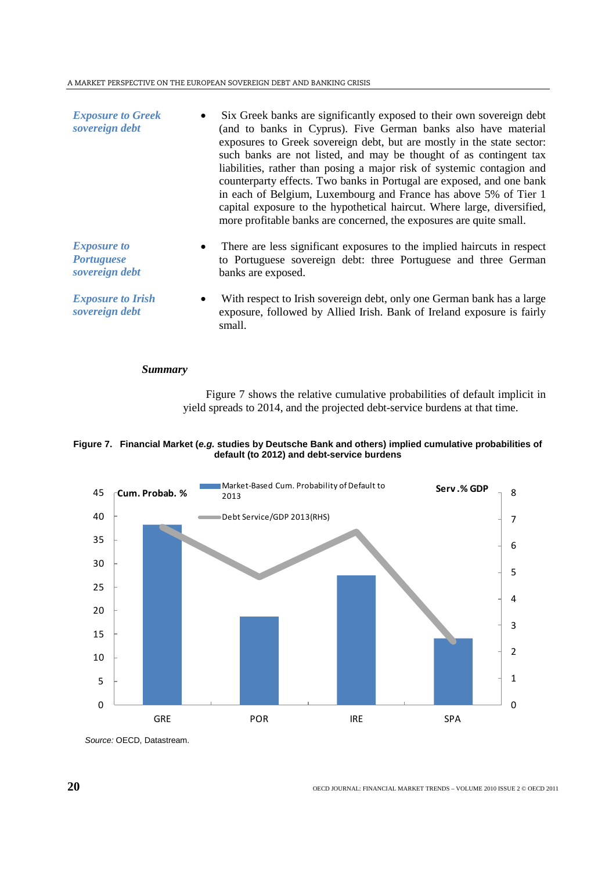| <b>Exposure to Greek</b><br>sovereign debt                | Six Greek banks are significantly exposed to their own sovereign debt<br>(and to banks in Cyprus). Five German banks also have material<br>exposures to Greek sovereign debt, but are mostly in the state sector:<br>such banks are not listed, and may be thought of as contingent tax<br>liabilities, rather than posing a major risk of systemic contagion and<br>counterparty effects. Two banks in Portugal are exposed, and one bank<br>in each of Belgium, Luxembourg and France has above 5% of Tier 1<br>capital exposure to the hypothetical haircut. Where large, diversified,<br>more profitable banks are concerned, the exposures are quite small. |
|-----------------------------------------------------------|------------------------------------------------------------------------------------------------------------------------------------------------------------------------------------------------------------------------------------------------------------------------------------------------------------------------------------------------------------------------------------------------------------------------------------------------------------------------------------------------------------------------------------------------------------------------------------------------------------------------------------------------------------------|
| <b>Exposure to</b><br><i>Portuguese</i><br>sovereign debt | There are less significant exposures to the implied haircuts in respect<br>to Portuguese sovereign debt: three Portuguese and three German<br>banks are exposed.                                                                                                                                                                                                                                                                                                                                                                                                                                                                                                 |
| <b>Exposure to Irish</b><br>sovereign debt                | With respect to Irish sovereign debt, only one German bank has a large<br>exposure, followed by Allied Irish. Bank of Ireland exposure is fairly<br>small.                                                                                                                                                                                                                                                                                                                                                                                                                                                                                                       |

# *Summary*

Figure 7 shows the relative cumulative probabilities of default implicit in yield spreads to 2014, and the projected debt-service burdens at that time.





*Source:* OECD, Datastream.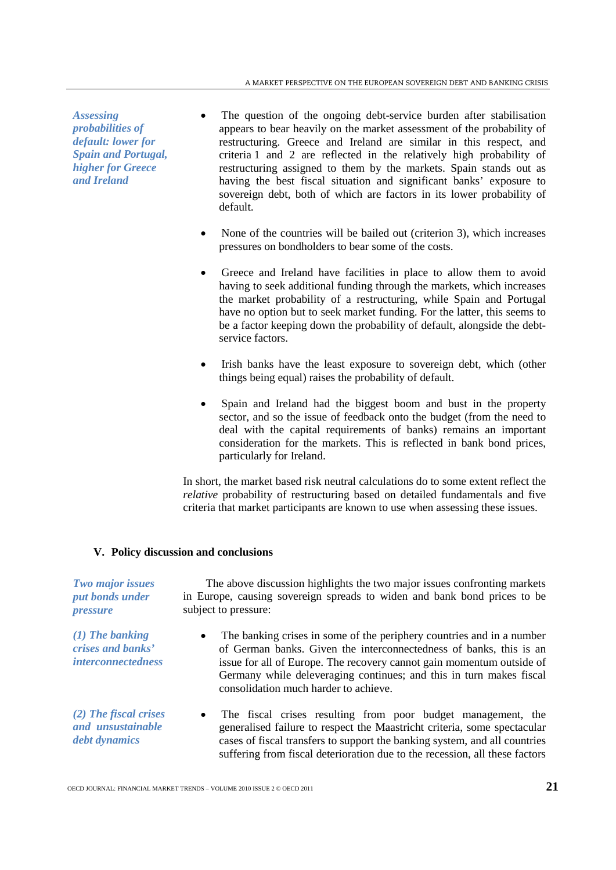*Assessing probabilities of default: lower for Spain and Portugal, higher for Greece and Ireland* 

- The question of the ongoing debt-service burden after stabilisation appears to bear heavily on the market assessment of the probability of restructuring. Greece and Ireland are similar in this respect, and criteria 1 and 2 are reflected in the relatively high probability of restructuring assigned to them by the markets. Spain stands out as having the best fiscal situation and significant banks' exposure to sovereign debt, both of which are factors in its lower probability of default.
- None of the countries will be bailed out (criterion 3), which increases pressures on bondholders to bear some of the costs.
- Greece and Ireland have facilities in place to allow them to avoid having to seek additional funding through the markets, which increases the market probability of a restructuring, while Spain and Portugal have no option but to seek market funding. For the latter, this seems to be a factor keeping down the probability of default, alongside the debtservice factors.
- Irish banks have the least exposure to sovereign debt, which (other things being equal) raises the probability of default.
- Spain and Ireland had the biggest boom and bust in the property sector, and so the issue of feedback onto the budget (from the need to deal with the capital requirements of banks) remains an important consideration for the markets. This is reflected in bank bond prices, particularly for Ireland.

In short, the market based risk neutral calculations do to some extent reflect the *relative* probability of restructuring based on detailed fundamentals and five criteria that market participants are known to use when assessing these issues.

# **V. Policy discussion and conclusions**

| <b>Two major issues</b><br>put bonds under<br><i>pressure</i>       | The above discussion highlights the two major issues confronting markets<br>in Europe, causing sovereign spreads to widen and bank bond prices to be<br>subject to pressure:                                                                                                                                                              |
|---------------------------------------------------------------------|-------------------------------------------------------------------------------------------------------------------------------------------------------------------------------------------------------------------------------------------------------------------------------------------------------------------------------------------|
| $(1)$ The banking<br>crises and banks'<br><i>interconnectedness</i> | The banking crises in some of the periphery countries and in a number<br>٠<br>of German banks. Given the interconnectedness of banks, this is an<br>issue for all of Europe. The recovery cannot gain momentum outside of<br>Germany while deleveraging continues; and this in turn makes fiscal<br>consolidation much harder to achieve. |
| $(2)$ The fiscal crises<br>and unsustainable<br>debt dynamics       | The fiscal crises resulting from poor budget management, the<br>$\bullet$<br>generalised failure to respect the Maastricht criteria, some spectacular<br>cases of fiscal transfers to support the banking system, and all countries<br>suffering from fiscal deterioration due to the recession, all these factors                        |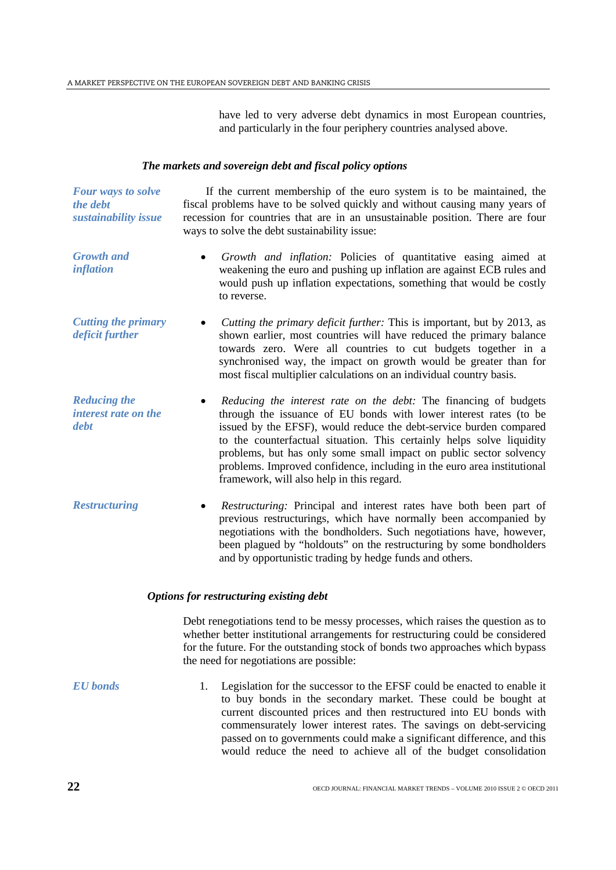have led to very adverse debt dynamics in most European countries, and particularly in the four periphery countries analysed above.

#### *The markets and sovereign debt and fiscal policy options*

*Four ways to solve the debt sustainability issue* If the current membership of the euro system is to be maintained, the fiscal problems have to be solved quickly and without causing many years of recession for countries that are in an unsustainable position. There are four ways to solve the debt sustainability issue: *Growth and inflation* • *Growth and inflation:* Policies of quantitative easing aimed at weakening the euro and pushing up inflation are against ECB rules and would push up inflation expectations, something that would be costly to reverse. *Cutting the primary deficit further* • *Cutting the primary deficit further:* This is important, but by 2013, as shown earlier, most countries will have reduced the primary balance towards zero. Were all countries to cut budgets together in a synchronised way, the impact on growth would be greater than for most fiscal multiplier calculations on an individual country basis. *Reducing the interest rate on the debt* • *Reducing the interest rate on the debt:* The financing of budgets through the issuance of EU bonds with lower interest rates (to be issued by the EFSF), would reduce the debt-service burden compared to the counterfactual situation. This certainly helps solve liquidity problems, but has only some small impact on public sector solvency problems. Improved confidence, including in the euro area institutional framework, will also help in this regard. *Restructuring* • *Restructuring:* Principal and interest rates have both been part of previous restructurings, which have normally been accompanied by negotiations with the bondholders. Such negotiations have, however, been plagued by "holdouts" on the restructuring by some bondholders

# *Options for restructuring existing debt*

Debt renegotiations tend to be messy processes, which raises the question as to whether better institutional arrangements for restructuring could be considered for the future. For the outstanding stock of bonds two approaches which bypass the need for negotiations are possible:

and by opportunistic trading by hedge funds and others.

*EU bonds* 1. Legislation for the successor to the EFSF could be enacted to enable it to buy bonds in the secondary market. These could be bought at current discounted prices and then restructured into EU bonds with commensurately lower interest rates. The savings on debt-servicing passed on to governments could make a significant difference, and this would reduce the need to achieve all of the budget consolidation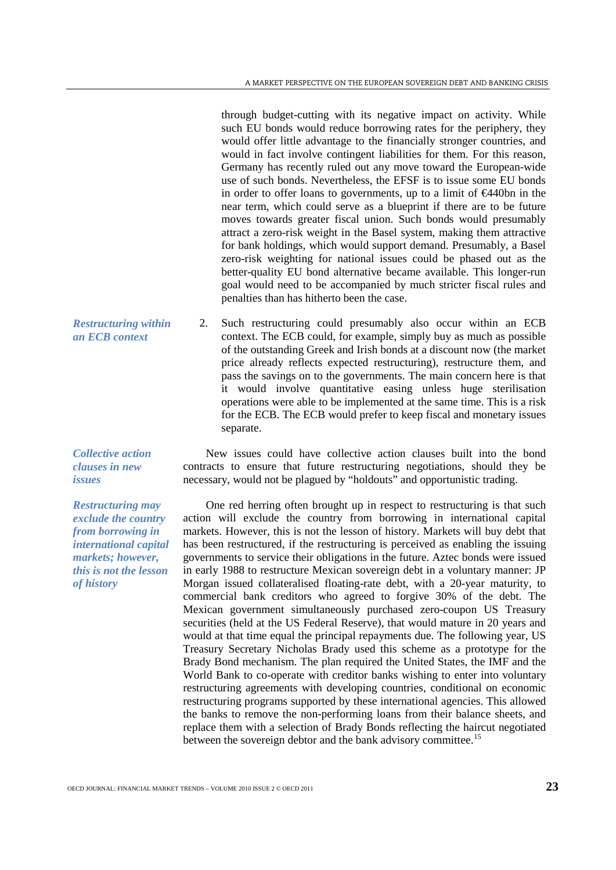through budget-cutting with its negative impact on activity. While such EU bonds would reduce borrowing rates for the periphery, they would offer little advantage to the financially stronger countries, and would in fact involve contingent liabilities for them. For this reason, Germany has recently ruled out any move toward the European-wide use of such bonds. Nevertheless, the EFSF is to issue some EU bonds in order to offer loans to governments, up to a limit of €440bn in the near term, which could serve as a blueprint if there are to be future moves towards greater fiscal union. Such bonds would presumably attract a zero-risk weight in the Basel system, making them attractive for bank holdings, which would support demand. Presumably, a Basel zero-risk weighting for national issues could be phased out as the better-quality EU bond alternative became available. This longer-run goal would need to be accompanied by much stricter fiscal rules and penalties than has hitherto been the case.

*Restructuring within an ECB context* 2. Such restructuring could presumably also occur within an ECB context. The ECB could, for example, simply buy as much as possible of the outstanding Greek and Irish bonds at a discount now (the market price already reflects expected restructuring), restructure them, and pass the savings on to the governments. The main concern here is that it would involve quantitative easing unless huge sterilisation operations were able to be implemented at the same time. This is a risk for the ECB. The ECB would prefer to keep fiscal and monetary issues separate.

> New issues could have collective action clauses built into the bond contracts to ensure that future restructuring negotiations, should they be necessary, would not be plagued by "holdouts" and opportunistic trading.

> One red herring often brought up in respect to restructuring is that such action will exclude the country from borrowing in international capital markets. However, this is not the lesson of history. Markets will buy debt that has been restructured, if the restructuring is perceived as enabling the issuing governments to service their obligations in the future. Aztec bonds were issued in early 1988 to restructure Mexican sovereign debt in a voluntary manner: JP Morgan issued collateralised floating-rate debt, with a 20-year maturity, to commercial bank creditors who agreed to forgive 30% of the debt. The Mexican government simultaneously purchased zero-coupon US Treasury securities (held at the US Federal Reserve), that would mature in 20 years and would at that time equal the principal repayments due. The following year, US Treasury Secretary Nicholas Brady used this scheme as a prototype for the Brady Bond mechanism. The plan required the United States, the IMF and the World Bank to co-operate with creditor banks wishing to enter into voluntary restructuring agreements with developing countries, conditional on economic restructuring programs supported by these international agencies. This allowed the banks to remove the non-performing loans from their balance sheets, and replace them with a selection of Brady Bonds reflecting the haircut negotiated between the sovereign debtor and the bank advisory committee.<sup>[15](#page-26-14)</sup>

*Collective action clauses in new issues*

*Restructuring may exclude the country from borrowing in international capital markets; however, this is not the lesson of history*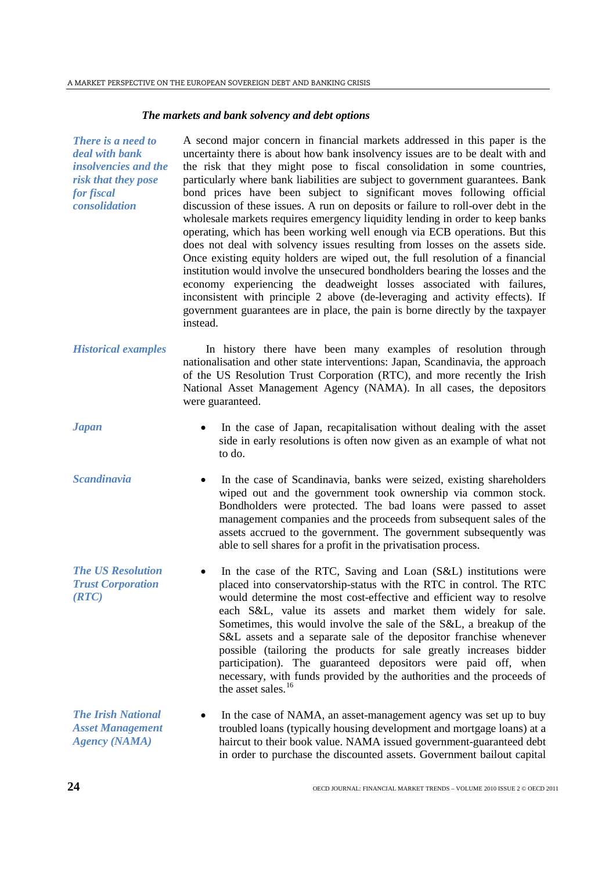#### *The markets and bank solvency and debt options*

*There is a need to deal with bank insolvencies and the risk that they pose for fiscal consolidation* A second major concern in financial markets addressed in this paper is the uncertainty there is about how bank insolvency issues are to be dealt with and the risk that they might pose to fiscal consolidation in some countries, particularly where bank liabilities are subject to government guarantees. Bank bond prices have been subject to significant moves following official discussion of these issues. A run on deposits or failure to roll-over debt in the wholesale markets requires emergency liquidity lending in order to keep banks operating, which has been working well enough via ECB operations. But this does not deal with solvency issues resulting from losses on the assets side. Once existing equity holders are wiped out, the full resolution of a financial institution would involve the unsecured bondholders bearing the losses and the economy experiencing the deadweight losses associated with failures, inconsistent with principle 2 above (de-leveraging and activity effects). If government guarantees are in place, the pain is borne directly by the taxpayer instead.

*Historical examples* In history there have been many examples of resolution through nationalisation and other state interventions: Japan, Scandinavia, the approach of the US Resolution Trust Corporation (RTC), and more recently the Irish National Asset Management Agency (NAMA). In all cases, the depositors were guaranteed.

- *Japan* In the case of Japan, recapitalisation without dealing with the asset side in early resolutions is often now given as an example of what not to do.
- *Scandinavia* In the case of Scandinavia, banks were seized, existing shareholders wiped out and the government took ownership via common stock. Bondholders were protected. The bad loans were passed to asset management companies and the proceeds from subsequent sales of the assets accrued to the government. The government subsequently was able to sell shares for a profit in the privatisation process.
- *The US Resolution Trust Corporation (RTC)* In the case of the RTC, Saving and Loan (S&L) institutions were placed into conservatorship-status with the RTC in control. The RTC would determine the most cost-effective and efficient way to resolve each S&L, value its assets and market them widely for sale. Sometimes, this would involve the sale of the S&L, a breakup of the S&L assets and a separate sale of the depositor franchise whenever possible (tailoring the products for sale greatly increases bidder participation). The guaranteed depositors were paid off, when necessary, with funds provided by the authorities and the proceeds of the asset sales. $16$
- *The Irish National Asset Management Agency (NAMA)* In the case of NAMA, an asset-management agency was set up to buy troubled loans (typically housing development and mortgage loans) at a haircut to their book value. NAMA issued government-guaranteed debt in order to purchase the discounted assets. Government bailout capital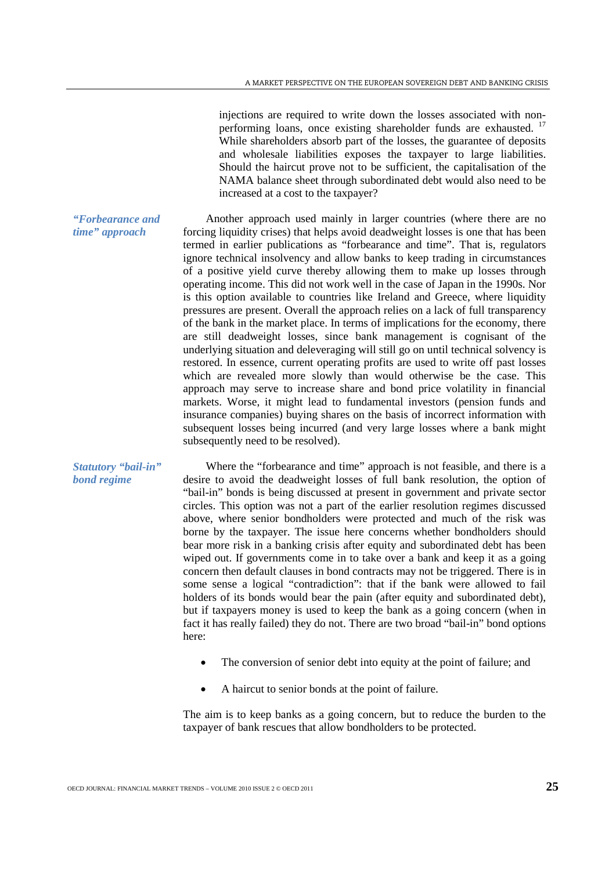injections are required to write down the losses associated with non-performing loans, once existing shareholder funds are exhausted.<sup>[17](#page-26-16)</sup> While shareholders absorb part of the losses, the guarantee of deposits and wholesale liabilities exposes the taxpayer to large liabilities. Should the haircut prove not to be sufficient, the capitalisation of the NAMA balance sheet through subordinated debt would also need to be increased at a cost to the taxpayer?

Another approach used mainly in larger countries (where there are no forcing liquidity crises) that helps avoid deadweight losses is one that has been termed in earlier publications as "forbearance and time". That is, regulators ignore technical insolvency and allow banks to keep trading in circumstances of a positive yield curve thereby allowing them to make up losses through operating income. This did not work well in the case of Japan in the 1990s. Nor is this option available to countries like Ireland and Greece, where liquidity pressures are present. Overall the approach relies on a lack of full transparency of the bank in the market place. In terms of implications for the economy, there are still deadweight losses, since bank management is cognisant of the underlying situation and deleveraging will still go on until technical solvency is restored. In essence, current operating profits are used to write off past losses which are revealed more slowly than would otherwise be the case. This approach may serve to increase share and bond price volatility in financial markets. Worse, it might lead to fundamental investors (pension funds and insurance companies) buying shares on the basis of incorrect information with subsequent losses being incurred (and very large losses where a bank might subsequently need to be resolved).

Where the "forbearance and time" approach is not feasible, and there is a desire to avoid the deadweight losses of full bank resolution, the option of "bail-in" bonds is being discussed at present in government and private sector circles. This option was not a part of the earlier resolution regimes discussed above, where senior bondholders were protected and much of the risk was borne by the taxpayer. The issue here concerns whether bondholders should bear more risk in a banking crisis after equity and subordinated debt has been wiped out. If governments come in to take over a bank and keep it as a going concern then default clauses in bond contracts may not be triggered. There is in some sense a logical "contradiction": that if the bank were allowed to fail holders of its bonds would bear the pain (after equity and subordinated debt), but if taxpayers money is used to keep the bank as a going concern (when in fact it has really failed) they do not. There are two broad "bail-in" bond options here:

- The conversion of senior debt into equity at the point of failure; and
- A haircut to senior bonds at the point of failure.

The aim is to keep banks as a going concern, but to reduce the burden to the taxpayer of bank rescues that allow bondholders to be protected.

# *"Forbearance and time" approach*

*Statutory "bail-in" bond regime*

OECD JOURNAL: FINANCIAL MARKET TRENDS – VOLUME 2010 ISSUE 2 © OECD 2011 **2010**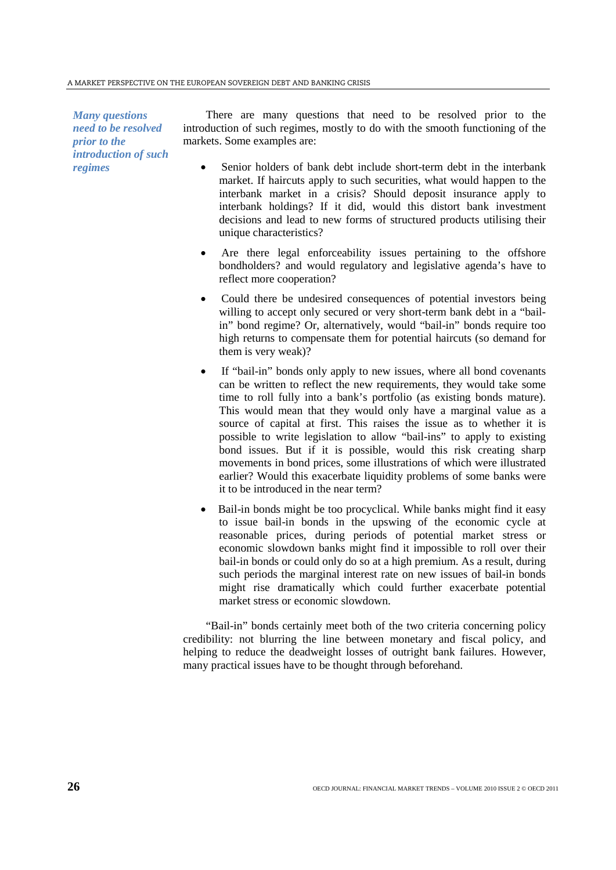#### A MARKET PERSPECTIVE ON THE EUROPEAN SOVEREIGN DEBT AND BANKING CRISIS

*Many questions need to be resolved prior to the introduction of such regimes*

There are many questions that need to be resolved prior to the introduction of such regimes, mostly to do with the smooth functioning of the markets. Some examples are:

- Senior holders of bank debt include short-term debt in the interbank market. If haircuts apply to such securities, what would happen to the interbank market in a crisis? Should deposit insurance apply to interbank holdings? If it did, would this distort bank investment decisions and lead to new forms of structured products utilising their unique characteristics?
- Are there legal enforceability issues pertaining to the offshore bondholders? and would regulatory and legislative agenda's have to reflect more cooperation?
- Could there be undesired consequences of potential investors being willing to accept only secured or very short-term bank debt in a "bailin" bond regime? Or, alternatively, would "bail-in" bonds require too high returns to compensate them for potential haircuts (so demand for them is very weak)?
- If "bail-in" bonds only apply to new issues, where all bond covenants can be written to reflect the new requirements, they would take some time to roll fully into a bank's portfolio (as existing bonds mature). This would mean that they would only have a marginal value as a source of capital at first. This raises the issue as to whether it is possible to write legislation to allow "bail-ins" to apply to existing bond issues. But if it is possible, would this risk creating sharp movements in bond prices, some illustrations of which were illustrated earlier? Would this exacerbate liquidity problems of some banks were it to be introduced in the near term?
- Bail-in bonds might be too procyclical. While banks might find it easy to issue bail-in bonds in the upswing of the economic cycle at reasonable prices, during periods of potential market stress or economic slowdown banks might find it impossible to roll over their bail-in bonds or could only do so at a high premium. As a result, during such periods the marginal interest rate on new issues of bail-in bonds might rise dramatically which could further exacerbate potential market stress or economic slowdown.

"Bail-in" bonds certainly meet both of the two criteria concerning policy credibility: not blurring the line between monetary and fiscal policy, and helping to reduce the deadweight losses of outright bank failures. However, many practical issues have to be thought through beforehand.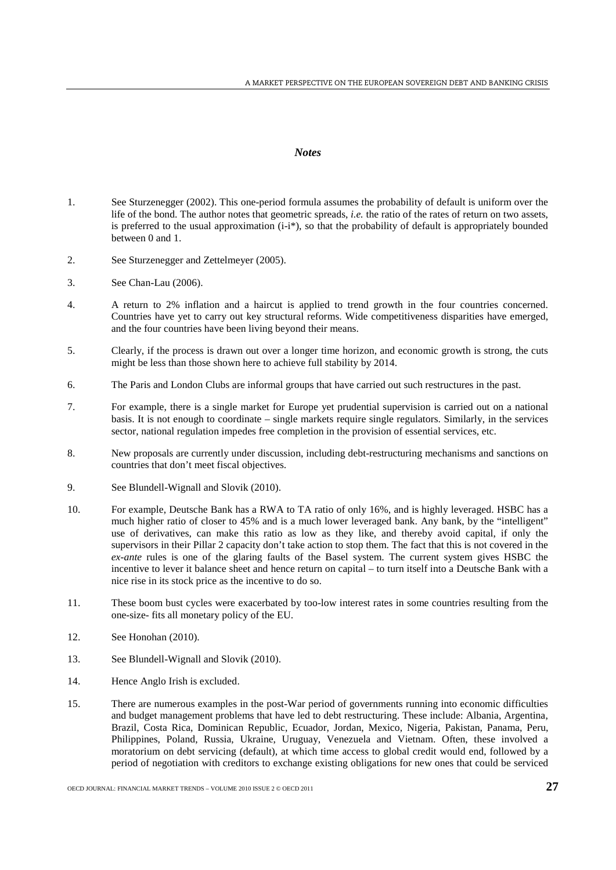## *Notes*

- <span id="page-26-16"></span><span id="page-26-15"></span><span id="page-26-0"></span>1. See Sturzenegger (2002). This one-period formula assumes the probability of default is uniform over the life of the bond. The author notes that geometric spreads, *i.e.* the ratio of the rates of return on two assets, is preferred to the usual approximation  $(i-i*)$ , so that the probability of default is appropriately bounded between 0 and 1.
- <span id="page-26-1"></span>2. See Sturzenegger and Zettelmeyer (2005).
- <span id="page-26-2"></span>3. See Chan-Lau (2006).
- <span id="page-26-3"></span>4. A return to 2% inflation and a haircut is applied to trend growth in the four countries concerned. Countries have yet to carry out key structural reforms. Wide competitiveness disparities have emerged, and the four countries have been living beyond their means.
- <span id="page-26-4"></span>5. Clearly, if the process is drawn out over a longer time horizon, and economic growth is strong, the cuts might be less than those shown here to achieve full stability by 2014.
- <span id="page-26-5"></span>6. The Paris and London Clubs are informal groups that have carried out such restructures in the past.
- <span id="page-26-6"></span>7. For example, there is a single market for Europe yet prudential supervision is carried out on a national basis. It is not enough to coordinate – single markets require single regulators. Similarly, in the services sector, national regulation impedes free completion in the provision of essential services, etc.
- <span id="page-26-7"></span>8. New proposals are currently under discussion, including debt-restructuring mechanisms and sanctions on countries that don't meet fiscal objectives.
- <span id="page-26-8"></span>9. See Blundell-Wignall and Slovik (2010).
- <span id="page-26-9"></span>10. For example, Deutsche Bank has a RWA to TA ratio of only 16%, and is highly leveraged. HSBC has a much higher ratio of closer to 45% and is a much lower leveraged bank. Any bank, by the "intelligent" use of derivatives, can make this ratio as low as they like, and thereby avoid capital, if only the supervisors in their Pillar 2 capacity don't take action to stop them. The fact that this is not covered in the *ex-ante* rules is one of the glaring faults of the Basel system. The current system gives HSBC the incentive to lever it balance sheet and hence return on capital – to turn itself into a Deutsche Bank with a nice rise in its stock price as the incentive to do so.
- <span id="page-26-10"></span>11. These boom bust cycles were exacerbated by too-low interest rates in some countries resulting from the one-size- fits all monetary policy of the EU.
- <span id="page-26-11"></span>12. See Honohan (2010).
- <span id="page-26-12"></span>13. See Blundell-Wignall and Slovik (2010).
- <span id="page-26-13"></span>14. Hence Anglo Irish is excluded.
- <span id="page-26-14"></span>15. There are numerous examples in the post-War period of governments running into economic difficulties and budget management problems that have led to debt restructuring. These include: Albania, Argentina, Brazil, Costa Rica, Dominican Republic, Ecuador, Jordan, Mexico, Nigeria, Pakistan, Panama, Peru, Philippines, Poland, Russia, Ukraine, Uruguay, Venezuela and Vietnam. Often, these involved a moratorium on debt servicing (default), at which time access to global credit would end, followed by a period of negotiation with creditors to exchange existing obligations for new ones that could be serviced